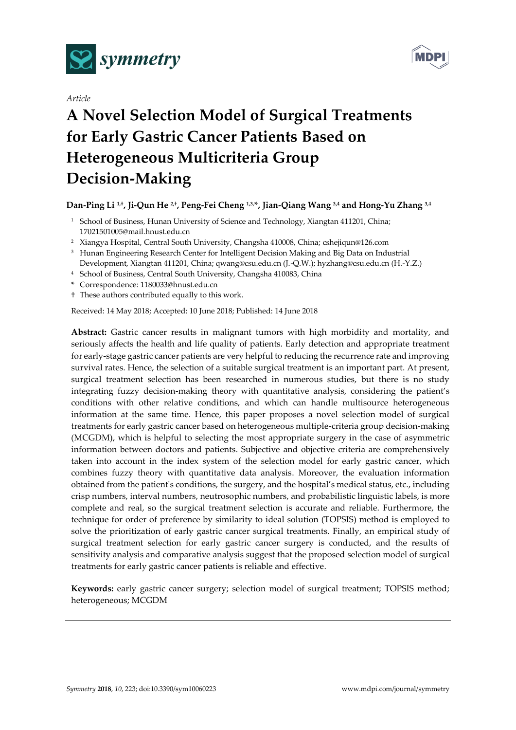



## *Article*

# **A Novel Selection Model of Surgical Treatments for Early Gastric Cancer Patients Based on Heterogeneous Multicriteria Group Decision-Making**

# **Dan-Ping Li 1,† , Ji-Qun He 2,† , Peng-Fei Cheng 1,3,\*, Jian-Qiang Wang 3,4 and Hong-Yu Zhang 3,4**

- <sup>1</sup> School of Business, Hunan University of Science and Technology, Xiangtan 411201, China; 17021501005@mail.hnust.edu.cn
- <sup>2</sup> Xiangya Hospital, Central South University, Changsha 410008, China; cshejiqun@126.com
- <sup>3</sup> Hunan Engineering Research Center for Intelligent Decision Making and Big Data on Industrial Development, Xiangtan 411201, China; qwang@csu.edu.cn (J.-Q.W.); hyzhang@csu.edu.cn (H.-Y.Z.)
- <sup>4</sup> School of Business, Central South University, Changsha 410083, China
- **\*** Correspondence: 1180033@hnust.edu.cn
- † These authors contributed equally to this work.

Received: 14 May 2018; Accepted: 10 June 2018; Published: 14 June 2018

**Abstract:** Gastric cancer results in malignant tumors with high morbidity and mortality, and seriously affects the health and life quality of patients. Early detection and appropriate treatment for early-stage gastric cancer patients are very helpful to reducing the recurrence rate and improving survival rates. Hence, the selection of a suitable surgical treatment is an important part. At present, surgical treatment selection has been researched in numerous studies, but there is no study integrating fuzzy decision-making theory with quantitative analysis, considering the patient's conditions with other relative conditions, and which can handle multisource heterogeneous information at the same time. Hence, this paper proposes a novel selection model of surgical treatments for early gastric cancer based on heterogeneous multiple-criteria group decision-making (MCGDM), which is helpful to selecting the most appropriate surgery in the case of asymmetric information between doctors and patients. Subjective and objective criteria are comprehensively taken into account in the index system of the selection model for early gastric cancer, which combines fuzzy theory with quantitative data analysis. Moreover, the evaluation information obtained from the patient's conditions, the surgery, and the hospital's medical status, etc., including crisp numbers, interval numbers, neutrosophic numbers, and probabilistic linguistic labels, is more complete and real, so the surgical treatment selection is accurate and reliable. Furthermore, the technique for order of preference by similarity to ideal solution (TOPSIS) method is employed to solve the prioritization of early gastric cancer surgical treatments. Finally, an empirical study of surgical treatment selection for early gastric cancer surgery is conducted, and the results of sensitivity analysis and comparative analysis suggest that the proposed selection model of surgical treatments for early gastric cancer patients is reliable and effective.

**Keywords:** early gastric cancer surgery; selection model of surgical treatment; TOPSIS method; heterogeneous; MCGDM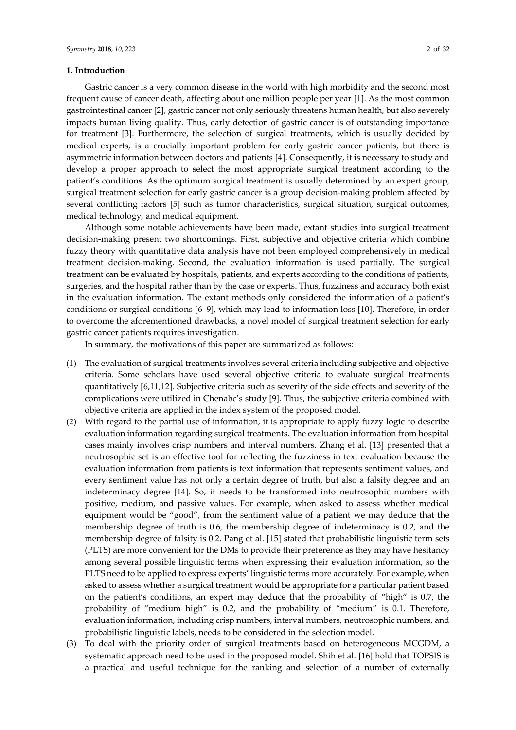## **1. Introduction**

Gastric cancer is a very common disease in the world with high morbidity and the second most frequent cause of cancer death, affecting about one million people per year [\[1\]](#page-29-0). As the most common gastrointestinal cancer [\[2\]](#page-29-1), gastric cancer not only seriously threatens human health, but also severely impacts human living quality. Thus, early detection of gastric cancer is of outstanding importance for treatment [\[3\]](#page-29-2). Furthermore, the selection of surgical treatments, which is usually decided by medical experts, is a crucially important problem for early gastric cancer patients, but there is asymmetric information between doctors and patients [\[4\]](#page-29-3). Consequently, it is necessary to study and develop a proper approach to select the most appropriate surgical treatment according to the patient's conditions. As the optimum surgical treatment is usually determined by an expert group, surgical treatment selection for early gastric cancer is a group decision-making problem affected by several conflicting factors [\[5\]](#page-29-4) such as tumor characteristics, surgical situation, surgical outcomes, medical technology, and medical equipment.

Although some notable achievements have been made, extant studies into surgical treatment decision-making present two shortcomings. First, subjective and objective criteria which combine fuzzy theory with quantitative data analysis have not been employed comprehensively in medical treatment decision-making. Second, the evaluation information is used partially. The surgical treatment can be evaluated by hospitals, patients, and experts according to the conditions of patients, surgeries, and the hospital rather than by the case or experts. Thus, fuzziness and accuracy both exist in the evaluation information. The extant methods only considered the information of a patient's conditions or surgical conditions [6–9], which may lead to information loss [\[10\]](#page-29-5). Therefore, in order to overcome the aforementioned drawbacks, a novel model of surgical treatment selection for early gastric cancer patients requires investigation.

In summary, the motivations of this paper are summarized as follows:

- (1) The evaluation of surgical treatments involves several criteria including subjective and objective criteria. Some scholars have used several objective criteria to evaluate surgical treatments quantitatively [6,11,12]. Subjective criteria such as severity of the side effects and severity of the complications were utilized in Chenabc's study [\[9\]](#page-29-6). Thus, the subjective criteria combined with objective criteria are applied in the index system of the proposed model.
- (2) With regard to the partial use of information, it is appropriate to apply fuzzy logic to describe evaluation information regarding surgical treatments. The evaluation information from hospital cases mainly involves crisp numbers and interval numbers. Zhang et al. [\[13\]](#page-29-7) presented that a neutrosophic set is an effective tool for reflecting the fuzziness in text evaluation because the evaluation information from patients is text information that represents sentiment values, and every sentiment value has not only a certain degree of truth, but also a falsity degree and an indeterminacy degree [\[14\]](#page-29-8). So, it needs to be transformed into neutrosophic numbers with positive, medium, and passive values. For example, when asked to assess whether medical equipment would be "good", from the sentiment value of a patient we may deduce that the membership degree of truth is 0.6, the membership degree of indeterminacy is 0.2, and the membership degree of falsity is 0.2. Pang et al. [\[15\]](#page-29-9) stated that probabilistic linguistic term sets (PLTS) are more convenient for the DMs to provide their preference as they may have hesitancy among several possible linguistic terms when expressing their evaluation information, so the PLTS need to be applied to express experts' linguistic terms more accurately. For example, when asked to assess whether a surgical treatment would be appropriate for a particular patient based on the patient's conditions, an expert may deduce that the probability of "high" is 0.7, the probability of "medium high" is 0.2, and the probability of "medium" is 0.1. Therefore, evaluation information, including crisp numbers, interval numbers, neutrosophic numbers, and probabilistic linguistic labels, needs to be considered in the selection model.
- (3) To deal with the priority order of surgical treatments based on heterogeneous MCGDM, a systematic approach need to be used in the proposed model. Shih et al. [\[16\]](#page-29-10) hold that TOPSIS is a practical and useful technique for the ranking and selection of a number of externally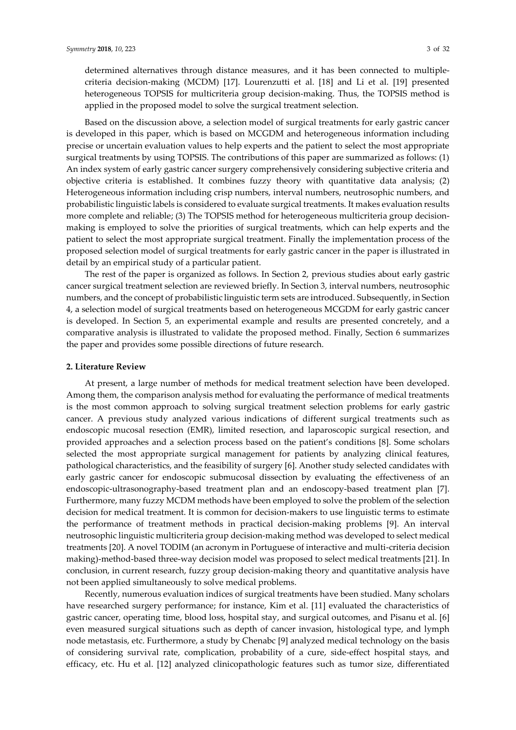determined alternatives through distance measures, and it has been connected to multiplecriteria decision-making (MCDM) [\[17\]](#page-29-11). Lourenzutti et al. [\[18\]](#page-29-12) and Li et al. [\[19\]](#page-29-13) presented heterogeneous TOPSIS for multicriteria group decision-making. Thus, the TOPSIS method is applied in the proposed model to solve the surgical treatment selection.

Based on the discussion above, a selection model of surgical treatments for early gastric cancer is developed in this paper, which is based on MCGDM and heterogeneous information including precise or uncertain evaluation values to help experts and the patient to select the most appropriate surgical treatments by using TOPSIS. The contributions of this paper are summarized as follows: (1) An index system of early gastric cancer surgery comprehensively considering subjective criteria and objective criteria is established. It combines fuzzy theory with quantitative data analysis; (2) Heterogeneous information including crisp numbers, interval numbers, neutrosophic numbers, and probabilistic linguistic labels is considered to evaluate surgical treatments. It makes evaluation results more complete and reliable; (3) The TOPSIS method for heterogeneous multicriteria group decisionmaking is employed to solve the priorities of surgical treatments, which can help experts and the patient to select the most appropriate surgical treatment. Finally the implementation process of the proposed selection model of surgical treatments for early gastric cancer in the paper is illustrated in detail by an empirical study of a particular patient.

The rest of the paper is organized as follows. In Section 2, previous studies about early gastric cancer surgical treatment selection are reviewed briefly. In Section 3, interval numbers, neutrosophic numbers, and the concept of probabilistic linguistic term sets are introduced. Subsequently, in Section 4, a selection model of surgical treatments based on heterogeneous MCGDM for early gastric cancer is developed. In Section 5, an experimental example and results are presented concretely, and a comparative analysis is illustrated to validate the proposed method. Finally, Section 6 summarizes the paper and provides some possible directions of future research.

#### **2. Literature Review**

At present, a large number of methods for medical treatment selection have been developed. Among them, the comparison analysis method for evaluating the performance of medical treatments is the most common approach to solving surgical treatment selection problems for early gastric cancer. A previous study analyzed various indications of different surgical treatments such as endoscopic mucosal resection (EMR), limited resection, and laparoscopic surgical resection, and provided approaches and a selection process based on the patient's conditions [\[8\]](#page-29-14). Some scholars selected the most appropriate surgical management for patients by analyzing clinical features, pathological characteristics, and the feasibility of surgery [\[6\]](#page-29-15). Another study selected candidates with early gastric cancer for endoscopic submucosal dissection by evaluating the effectiveness of an endoscopic-ultrasonography-based treatment plan and an endoscopy-based treatment plan [\[7\]](#page-29-16). Furthermore, many fuzzy MCDM methods have been employed to solve the problem of the selection decision for medical treatment. It is common for decision-makers to use linguistic terms to estimate the performance of treatment methods in practical decision-making problems [\[9\]](#page-29-6). An interval neutrosophic linguistic multicriteria group decision-making method was developed to select medical treatments [\[20\]](#page-29-17). A novel TODIM (an acronym in Portuguese of interactive and multi-criteria decision making)-method-based three-way decision model was proposed to select medical treatments [\[21\]](#page-29-18). In conclusion, in current research, fuzzy group decision-making theory and quantitative analysis have not been applied simultaneously to solve medical problems.

Recently, numerous evaluation indices of surgical treatments have been studied. Many scholars have researched surgery performance; for instance, Kim et al. [\[11\]](#page-29-19) evaluated the characteristics of gastric cancer, operating time, blood loss, hospital stay, and surgical outcomes, and Pisanu et al. [\[6\]](#page-29-15) even measured surgical situations such as depth of cancer invasion, histological type, and lymph node metastasis, etc. Furthermore, a study by Chenabc [\[9\]](#page-29-6) analyzed medical technology on the basis of considering survival rate, complication, probability of a cure, side-effect hospital stays, and efficacy, etc. Hu et al. [\[12\]](#page-29-20) analyzed clinicopathologic features such as tumor size, differentiated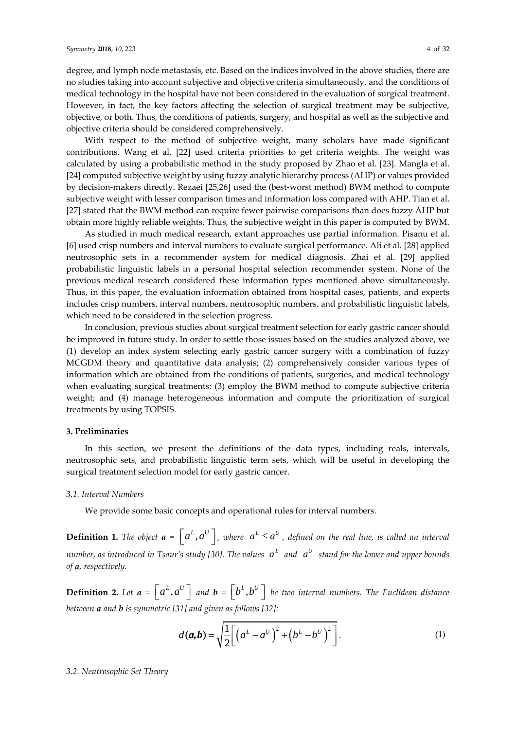degree, and lymph node metastasis, etc. Based on the indices involved in the above studies, there are no studies taking into account subjective and objective criteria simultaneously, and the conditions of medical technology in the hospital have not been considered in the evaluation of surgical treatment. However, in fact, the key factors affecting the selection of surgical treatment may be subjective, objective, or both. Thus, the conditions of patients, surgery, and hospital as well as the subjective and objective criteria should be considered comprehensively.

With respect to the method of subjective weight, many scholars have made significant contributions. Wang et al. [\[22\]](#page-29-21) used criteria priorities to get criteria weights. The weight was calculated by using a probabilistic method in the study proposed by Zhao et al. [\[23\]](#page-29-22). Mangla et al. [\[24\]](#page-30-0) computed subjective weight by using fuzzy analytic hierarchy process (AHP) or values provided by decision-makers directly. Rezaei [25,26] used the (best-worst method) BWM method to compute subjective weight with lesser comparison times and information loss compared with AHP. Tian et al. [\[27\]](#page-30-1) stated that the BWM method can require fewer pairwise comparisons than does fuzzy AHP but obtain more highly reliable weights. Thus, the subjective weight in this paper is computed by BWM.

As studied in much medical research, extant approaches use partial information. Pisanu et al. [\[6\]](#page-29-15) used crisp numbers and interval numbers to evaluate surgical performance. Ali et al. [\[28\]](#page-30-2) applied neutrosophic sets in a recommender system for medical diagnosis. Zhai et al. [\[29\]](#page-30-3) applied probabilistic linguistic labels in a personal hospital selection recommender system. None of the previous medical research considered these information types mentioned above simultaneously. Thus, in this paper, the evaluation information obtained from hospital cases, patients, and experts includes crisp numbers, interval numbers, neutrosophic numbers, and probabilistic linguistic labels, which need to be considered in the selection progress.

In conclusion, previous studies about surgical treatment selection for early gastric cancer should be improved in future study. In order to settle those issues based on the studies analyzed above, we (1) develop an index system selecting early gastric cancer surgery with a combination of fuzzy MCGDM theory and quantitative data analysis; (2) comprehensively consider various types of information which are obtained from the conditions of patients, surgeries, and medical technology when evaluating surgical treatments; (3) employ the BWM method to compute subjective criteria weight; and (4) manage heterogeneous information and compute the prioritization of surgical treatments by using TOPSIS.

## **3. Preliminaries**

In this section, we present the definitions of the data types, including reals, intervals, neutrosophic sets, and probabilistic linguistic term sets, which will be useful in developing the surgical treatment selection model for early gastric cancer.

#### *3.1. Interval Numbers*

We provide some basic concepts and operational rules for interval numbers.

**Definition 1.** The object  $a = \left[a^L, a^U\right]$ , where  $a^L \le a^U$ , defined on the real line, is called an interval *number, as introduced in Tsaur's study [\[30\]](#page-30-4). The values*  $a^L$  *and*  $a^U$  *stand for the lower and upper bounds of a, respectively.*

**Definition 2.** Let  $a = \begin{bmatrix} a^L, a^U \end{bmatrix}$  and  $b = \begin{bmatrix} b^L, b^U \end{bmatrix}$  be two interval numbers. The Euclidean distance *between a and b is symmetric [\[31\]](#page-30-5) and given as follows [\[32\]](#page-30-6):*

$$
d(a,b) = \sqrt{\frac{1}{2} \left[ \left( a^L - a^U \right)^2 + \left( b^L - b^U \right)^2 \right]}.
$$
 (1)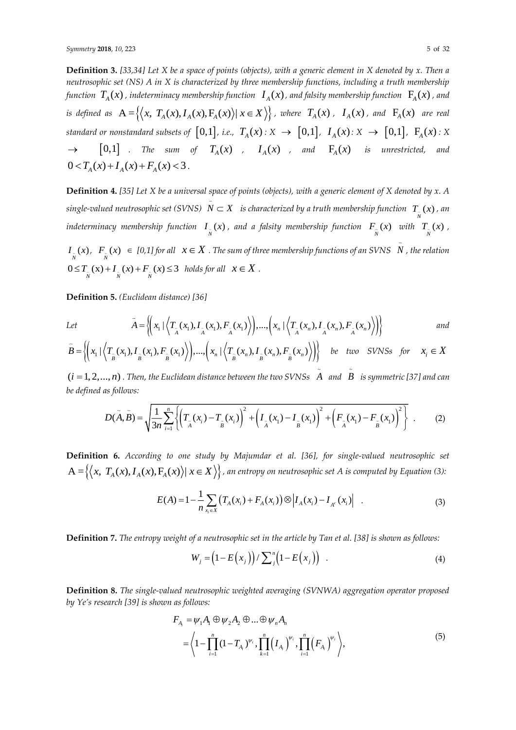**Definition 3.** *[33,34] Let X be a space of points (objects), with a generic element in X denoted by x. Then a neutrosophic set (NS) A in X is characterized by three membership functions, including a truth membership*  function  $T_{_A}(x)$  , indeterminacy membership function  $\; I_{_A}(x)$  , and falsity membership function  $\;$   $\Gamma_{\!{}_A}(x)$  , and is defined as  $A = \{(x, T_A(x), I_A(x), F_A(x)) | x \in X\}$ , where  $T_A(x)$ ,  $I_A(x)$ , and  $F_A(x)$  are real  $S$  *standard or nonstandard subsets of*  $\left[0,1\right]$ , *i.e.,*  $\; T_A(x):X\;\rightarrow\; \left[0,1\right]$ ,  $\;I_A(x):X\;\rightarrow\; \left[0,1\right]$ ,  $\;F_A(x):X$  $\rightarrow$  [0,1] . The sum of  $T_A(x)$  ,  $I_A(x)$  , and  $F_A(x)$  is unrestricted, and  $0 < T_A(x) + I_A(x) + F_A(x) < 3$ .

**Definition 4.** *[\[35\]](#page-30-7) Let X be a universal space of points (objects), with a generic element of X denoted by x. A*   $s$  *ingle-valued neutrosophic set (SVNS)*  $N \subset X$  *is characterized by a truth membership function*  $T_{\scriptscriptstyle -}(x)$  *, an N indeterminacy membership function*  $I_{\overline{N}}(x)$ , and a falsity membership function  $F_{\overline{N}}(x)$  with  $T_{\overline{N}}(x)$ ,  $I_{\tilde{N}}(x)$ ,  $F_{\tilde{N}}(x) \in [0,1]$  for all  $x \in X$  . The sum of three membership functions of an SVNS  $\;N$  , the relation  $0 \leq T_{\substack{\infty \\ N}}(x) + I_{\substack{\infty \\ N}}(x) + F_{\substack{\infty \\ N}}(x) \leq 3$  holds for all  $x \in X$ .

**Definition 5.** *(Euclidean distance) [\[36\]](#page-30-8)*

*Let* 

$$
\tilde{A} = \left\{ \left( x_1 \mid \left\langle T_{\tilde{A}}(x_1), I_{\tilde{A}}(x_1), F_{\tilde{A}}(x_1) \right\rangle \right), \dots, \left( x_n \mid \left\langle T_{\tilde{A}}(x_n), I_{\tilde{A}}(x_n), F_{\tilde{A}}(x_n) \right\rangle \right) \right\}
$$
 and

$$
\tilde{B} = \left\{ \left( x_1 \mid \left\langle T_{\tilde{B}}(x_1), I_{\tilde{B}}(x_1), F_{\tilde{B}}(x_1) \right\rangle \right), \dots, \left( x_n \mid \left\langle T_{\tilde{B}}(x_n), I_{\tilde{B}}(x_n), F_{\tilde{B}}(x_n) \right\rangle \right) \right\} \quad \text{be two SVMs for} \quad x_i \in X
$$

(*i* = 1, 2,..., *n*). Then, the Euclidean distance between the two SVNSs  $A$  and  $B$  is symmetric [\[37\]](#page-30-9) and can<br>be defined as follows:<br> $D(\tilde{A}, \tilde{B}) = \sqrt{\frac{1}{2} \sum_{i=1}^{n} \left\{ \left( T_z(x_i) - T_z(x_i) \right)^2 + \left( I_z(x_1) - I_z(x_1) \right)^2 + \left( F_z(x_1$ *be defined as follows:*

as follows:  
\n
$$
D(\tilde{A}, \tilde{B}) = \sqrt{\frac{1}{3n} \sum_{i=1}^{n} \left\{ \left( T_{\tilde{A}}(x_i) - T_{\tilde{B}}(x_i) \right)^2 + \left( I_{\tilde{A}}(x_1) - I_{\tilde{B}}(x_1) \right)^2 + \left( F_{\tilde{A}}(x_1) - F_{\tilde{B}}(x_1) \right)^2 \right\}.
$$
\n(2)

**Definition 6.** *According to one study by Majumdar et al. [\[36\]](#page-30-8), for single-valued neutrosophic set*   $\textbf{Definition 6. According to one study by Majumdar et al. [36], for single-valued neutrosophic set } \textbf{A} = \left\{ \left\langle x, T_A(x), I_A(x), F_A(x) \right\rangle | \ x \in X \right\}, \textit{an entropy on neutrosophic set A is computed by Equation (3):}$ 

$$
E(A) = 1 - \frac{1}{n} \sum_{x_i \in X} \left( T_A(x_i) + F_A(x_i) \right) \otimes \left| I_A(x_i) - I_{A^c}(x_i) \right| \tag{3}
$$

**Definition 7.** *The entropy weight of a neutrosophic set in the article by Tan et al. [\[38\]](#page-30-10) is shown as follows:*

$$
W_j = (1 - E(x_j)) / \sum_{j=1}^{n} (1 - E(x_j))
$$
 (4)

**Definition 8.** *The single-valued neutrosophic weighted averaging (SVNWA) aggregation operator proposed by Ye's research [\[39\]](#page-30-11) is shown as follows:*

$$
F_{A_i} = \psi_1 A_1 \oplus \psi_2 A_2 \oplus ... \oplus \psi_n A_n
$$
  
=  $\left\langle 1 - \prod_{i=1}^n (1 - T_{A_i})^{\psi_i}, \prod_{k=1}^n (I_{A_i})^{\psi_i}, \prod_{i=1}^n (F_{A_i})^{\psi_i} \right\rangle,$  (5)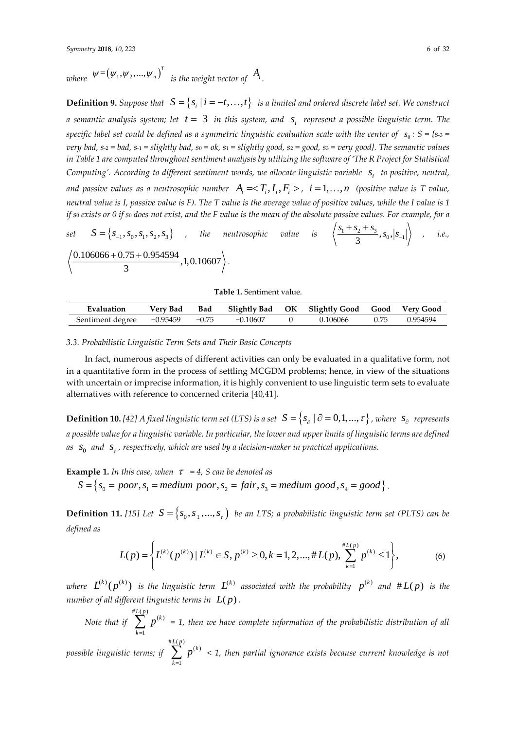$\omega$ here  $\mathcal{W} = (\psi_1, \psi_2, ..., \psi_n)^T$  is the weight vector of  $A_i$ .

**Definition 9.** Suppose that  $S = \{s_i | i = -t, ..., t\}$  is a limited and ordered discrete label set. We construct a semantic analysis system; let  $t=3$  in this system, and  $\,$ s, represent a possible linguistic term. The *specific label set could be defined as a symmetric linguistic evaluation scale with the center of*  $\,$  *s<sub>0</sub> : S = {s-<sub>3</sub> = very bad, s-*<sup>2</sup> *= bad, s-*<sup>1</sup> *= slightly bad, s*<sup>0</sup> *= ok, s*<sup>1</sup> *= slightly good, s*<sup>2</sup> *= good, s*<sup>3</sup> *= very good}. The semantic values in Table 1 are computed throughout sentiment analysis by utilizing the software of 'The R Project for Statistical Computing'. According to different sentiment words, we allocate linguistic variable i s to positive, neutral,* and passive values as a neutrosophic number  $A_i=$ ,  $i=1,\ldots,n$  (positive value is T value, *neutral value is I, passive value is F). The T value is the average value of positive values, while the I value is 1 if s*<sup>0</sup> *exists or 0 if s*<sup>0</sup> *does not exist, and the F value is the mean of the absolute passive values. For example, for a* 

set 
$$
S = \{s_{-1}, s_0, s_1, s_2, s_3\}
$$
, the neutrosophic value is  $\left\langle \frac{s_1 + s_2 + s_3}{3}, s_0, |s_{-1}| \right\rangle$ , i.e.,  $\left\langle \frac{0.106066 + 0.75 + 0.954594}{3}, 1, 0.10607 \right\rangle$ .

#### **Table 1.** Sentiment value.

| Evaluation       | Verv Bad | Bad     | Slightly Bad | OК | <sup>2</sup> Slightly Good | Good | <b>Very Good</b> |
|------------------|----------|---------|--------------|----|----------------------------|------|------------------|
| Sentiment degree | -0.95459 | $-0.75$ | $-0.10607$   |    |                            | 0.75 | 0.954594         |

#### *3.3. Probabilistic Linguistic Term Sets and Their Basic Concepts*

In fact, numerous aspects of different activities can only be evaluated in a qualitative form, not in a quantitative form in the process of settling MCGDM problems; hence, in view of the situations with uncertain or imprecise information, it is highly convenient to use linguistic term sets to evaluate alternatives with reference to concerned criteria [40,41].

**Definition 10.** [\[42\]](#page-30-12) A fixed linguistic term set (LTS) is a set  $S=\left\{s_{_{\partial}}\mid\partial=0,1,...,\tau\right\}$  , where  $\left|s_{_{\partial}}\right|$  represents *a possible value for a linguistic variable. In particular, the lower and upper limits of linguistic terms are defined as*  0 *s and s , respectively, which are used by a decision-maker in practical applications.*

**Example 1.** *In this case, when = 4, S can be denoted as*

 $S = \{s_0 = poor, s_1 = medium poor, s_2 = fair, s_3 = medium good, s_4 = good\}$ .

**Definition 11.** [\[15\]](#page-29-9) Let  $S = \{s_0, s_1, ..., s_r\}$  be an LTS; a probabilistic linguistic term set (PLTS) can be *defined as*

$$
L(p) = \left\{ L^{(k)}(p^{(k)}) \, | \, L^{(k)} \in S, \, p^{(k)} \ge 0, k = 1, 2, \dots, \# L(p), \, \sum_{k=1}^{\# L(p)} p^{(k)} \le 1 \right\},\tag{6}
$$

where  $L^{(k)}(p^{(k)})$  is the linguistic term  $L^{(k)}$  associated with the probability  $\ p^{(k)}$  and  $\# L(p)$  is the *number of all different linguistic terms in*  $\ L(p)$  *.* 

*Note that if*   $\sum_{k=1}^{#L(p)}$ 1  $L(p)$  (k *k*  $\sum p^{(k)}$  = 1, then we have complete information of the probabilistic distribution of all

*possible linguistic terms; if*   $\sum_{k=1}^{#L(p)} f(k)$ 1  $L(p)$  <sub>(k</sub>) *k p* =  $\sum \, p^{(k)} \, <$  1, then partial ignorance exists because current knowledge is not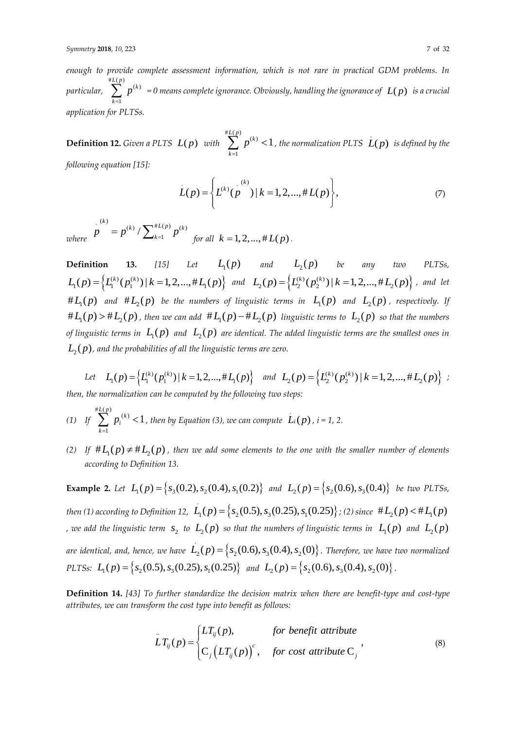*enough to provide complete assessment information, which is not rare in practical GDM problems. In particular,*   $\sum_{k=L}^{\#L(p)}p^{(k)}=0$  means complete ignorance. Obviously, handling the ignorance of  $\ L(p)\;$  is a crucial 1 *k application for PLTSs.*

**Definition 12.** Given a PLTS  $L(p)$  with  $\sum_{k=1}^{n} (p)$ 1  $L(p)$  *(k*) *k*  $\sum p^{(k)}$  <  $1$  , the normalization PLTS  $(L(p)$  is defined by the *following equation [\[15\]](#page-29-9):*

$$
L(p) = \left\{ L^{(k)}(p^{(k)}) \mid k = 1, 2, ..., \# L(p) \right\},\tag{7}
$$

*where*  $\sum_{k=1}^{(k)} (k) \left( \sum_{k=1}^{k} k! (p) \right)_{k=1}^{(k)}$  $\left/ \sum_{k=1}^{n} \right.$ *k*)<br> *(k)*  $\sqrt{I/k}$  *(k)*  $p = p^{(k)} / \sum_{k=1}^{\#L(p)} p^{(k)}$  for all  $k = 1, 2, ..., \#L(p)$ .

**Definition 13.** [15] Let  $L_1(p)$  and  $L_2(p)$  be any two PLTSs, **Definition**13. [15] Let  $L_1(p)$  and  $L_2(p)$  be any two PLTSs,<br> $L_1(p) = \left\{L_1^{(k)}(p_1^{(k)}) \mid k=1,2,...,\#L_1(p)\right\}$  and  $L_2(p) = \left\{L_2^{(k)}(p_2^{(k)}) \mid k=1,2,...,\#L_2(p)\right\}$ , and let # $L_1(p)$  and # $L_2(p)$  be the numbers of linguistic terms in  $L_1(p)$  and  $L_2(p)$  , respectively. If # $L_1(p)$  > # $L_2(p)$  , then we can add # $L_1(p)$  – # $L_2(p)$  linguistic terms to  $L_2(p)$  so that the numbers of linguistic terms in  $\ L_1(p)$  and  $\ L_2(p)$  are identical. The added linguistic terms are the smallest ones in  $L_{\scriptscriptstyle 2}(p)$  , and the probabilities of all the linguistic terms are zero.

Let 
$$
L_1(p) = \{L_1^{(k)}(p_1^{(k)}) | k = 1, 2, ..., \#L_1(p)\}
$$
 and  $L_2(p) = \{L_2^{(k)}(p_2^{(k)}) | k = 1, 2, ..., \#L_2(p)\}$ ;  
then, the normalization can be computed by the following two steps:

*then, the normalization can be computed by the following two steps:*

- *(1) If*   $\sum_{k=1}^{#L(p)} (k)$ 1 1  $L(p)$  (k *i k p*  $\sum_{k=1}^{\infty} p_i^{(k)} < 1$ , then by Equation (3), we can compute  $\hat{L}_i(p)$ ,  $i = 1, 2$ .
- (2) If  $#L_1(p) \neq #L_2(p)$  , then we add some elements to the one with the smaller number of elements *according to Definition 13.*

**Example 2.** Let  $L_1(p) = {s_3(0.2), s_2(0.4), s_1(0.2)}$  and  $L_2(p) = {s_2(0.6), s_3(0.4)}$  be two PLTSs, *then (1) according to Definition 12,*  $L_1(p) = \{s_2(0.5), s_3(0.25), s_1(0.25)\}$  $L_1(p) = \{s_2(0.5), s_3(0.25), s_1(0.25)\}$ ; (2) since  $\# L_2(p) < \# L_1(p)$ *,* we add the linguistic term  $\,s_{2}$  to  $\,L_{2}(p)\,$  so that the numbers of linguistic terms in  $\,L_{1}(p)\,$  and  $\,L_{2}(p)\,$ are identical, and, hence, we have  $\ L_2(p)\!=\!\left\{s_2(0.6),s_3(0.4),s_2(0)\right\}$  . Therefore, we have two normalized *PLTSs:*  $L_1(p) = \left\{ s_2(0.5), s_3(0.25), s_1(0.25) \right\}$  and  $L_2(p) = \left\{ s_2(0.6), s_3(0.4), s_2(0) \right\}$ .

**Definition 14.** *[\[43\]](#page-30-13) To further standardize the decision matrix when there are benefit-type and cost-type attributes, we can transform the cost type into benefit as follows:*

$$
\tilde{L}T_{ij}(p) = \begin{cases} LT_{ij}(p), & \text{for benefit attribute} \\ C_j(LT_{ij}(p))^c, & \text{for cost attribute } C_j \end{cases}
$$
\n(8)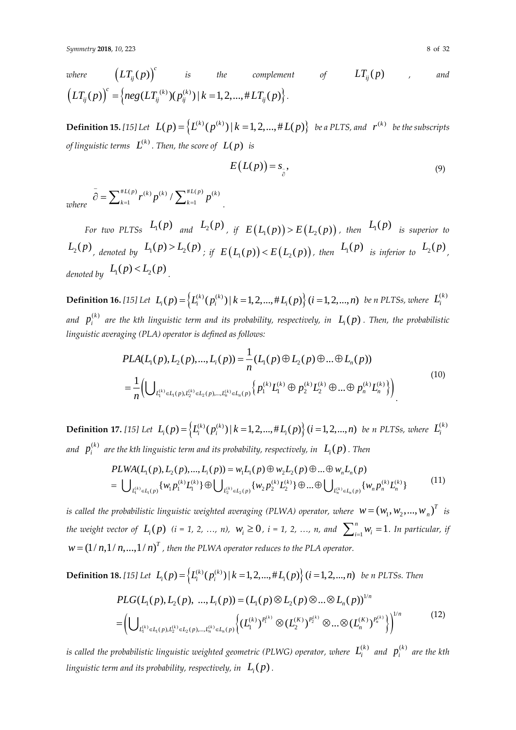where 
$$
(LT_{ij}(p))^c
$$
 is the complement of  $LT_{ij}(p)$ , and  
\n $(LT_{ij}(p))^c = \{neg(LT_{ij}^{(k)})(p_{ij}^{(k)}) | k = 1, 2, ..., \#LT_{ij}(p)\}.$ 

**Definition 15.** [\[15\]](#page-29-9) Let  $L(p) = \left\{L^{(k)}(p^{(k)}) \, | \, k = 1, 2, ..., \#L(p)\right\}$  be a PLTS, and  $r^{(k)}$  be the subscripts *of linguistic terms*  $\ L^{(k)}$  . Then, the score of  $\ L(p)$  is

$$
E\big(L(p)\big) = s_{\frac{1}{\beta}},\tag{9}
$$

*where*   $^{#L(p)}$   $_{\mathbf{m}}(k)$   $_{\mathbf{n}}(k)$  (  $\sum$   $^{#L(p)}$   $_{\mathbf{m}}(k)$  $\sum_{k=1}^{L(p)} p^{(k)} / \sum_{k=1}^{\#L(p)} p^{(k)}$  $\overline{\hat{\varphi}} = \sum_{k=1}^{\#L(p)} r^{(k)} p^{(k)} / \sum_{k=1}^{\#L(p)} p^{(k)}$  $\partial = \sum_{k=1}^{\#L(p)} r^{(k)} p^{(k)} / \sum_{k=1}^{\#L(p)} p^{(k)}$ 

For two PLTSs  $L_1(p)$  and  $L_2(p)$ , if  $E\left(L_1(p)\right) > E\left(L_2(p)\right)$ , then  $L_1(p)$  is superior to  $L_2(p)$ , denoted by  $L_1(p) > L_2(p)$ ; if  $E(L_1(p)) < E(L_2(p))$ , then  $L_1(p)$  is inferior to  $L_2(p)$ , denoted by  $L_1(p) < L_2(p)$ 

**Definition 16.** [\[15\]](#page-29-9) Let  $L_i(p) = \Big\{ L_i^{(k)}(p_i^{(k)}) \, | \, k = 1, 2, ..., \#L_i(p) \Big\}$   $(i = 1, 2, ..., n)$  be n PLTSs, where  $L_i^{(k)}$ and  $p_i^{(k)}$  $p_i^{(k)}$  are the kth linguistic term and its probability, respectively, in  $\ L_i(p)$  . Then, the probabilistic *linguistic averaging (PLA) operator is defined as follows:*

$$
PLA(L_1(p), L_2(p), ..., L_i(p)) = \frac{1}{n}(L_1(p) \oplus L_2(p) \oplus ... \oplus L_n(p))
$$
  
= 
$$
\frac{1}{n} \Biggl( \bigcup_{L_1^{(k)} \in L_1(p), L_2^{(k)} \in L_2(p), ..., L_n^{(k)} \in L_n(p)} \Biggl\{ p_1^{(k)} L_1^{(k)} \oplus p_2^{(k)} L_2^{(k)} \oplus ... \oplus p_n^{(k)} L_n^{(k)} \Biggr\} \Biggr)
$$
 (10)

**Definition 17.** [\[15\]](#page-29-9) Let  $L_i(p) = \left\{L_i^{(k)}(p_i^{(k)}) \, | \, k = 1, 2, ..., \#L_i(p)\right\}$   $(i = 1, 2, ..., n)$  be n PLTSs, where  $L_i^{(k)}$ and  $\;p_i^{(k)}\;$  are the kth linguistic term and its probability, respectively, in  $\;$   $L_i(p)$  . Then

$$
PLWA(L_1(p), L_2(p), ..., L_i(p)) = w_1L_1(p) \oplus w_2L_2(p) \oplus ... \oplus w_nL_n(p)
$$
  
= 
$$
\bigcup_{L_1^{(k)} \in L_1(p)} \{w_1p_1^{(k)}L_1^{(k)}\} \oplus \bigcup_{L_2^{(k)} \in L_2(p)} \{w_2p_2^{(k)}L_2^{(k)}\} \oplus ... \oplus \bigcup_{L_n^{(k)} \in L_n(p)} \{w_np_n^{(k)}L_n^{(k)}\}
$$
(11)

*is called the probabilistic linguistic weighted averaging (PLWA) operator, where*  $w = (w_1, w_2, ..., w_n)^T$  *is the weight vector of*  $L_i(p)$  (*i* = 1, 2, …, *n*),  $W_i \ge 0$ , *i* = 1, 2, …, *n*, and  $\sum_{i=1}^{n} W_i = 1$  $\sum_{i=1}^{n} w_i = 1$ . In particular, if  $w$  =  $\left(1/\,n, 1/\,n, ..., 1/\,n\right)^T$  , then the PLWA operator reduces to the PLA operator.

**Definition 18.** [\[15\]](#page-29-9) Let  $L_i(p) = \left\{L_i^{(k)}(p_i^{(k)}) \, | \, k = 1, 2, ..., \# L_i(p)\right\}$   $(i = 1, 2, ..., n)$  be a PLTSs. Then  $\left( \bigcup\nolimits_{L_1^{(k)} \in L_1(p), L_2^{(k)} \in L_2(p), ..., L_n^{(k)} \in L_n(p)} \left\{ (L_1^{(k)})^{P_1^{(k)}} \otimes (L_2^{(K)})^{P_2^{(k)}} \otimes ... \otimes (L_n^{(K)})^{P_n^{(k)}} \right\} \right)^{\nu}$  $(k)\lambda_1^{P^{(k)}}\otimes (I^{(K)}\lambda_2^{P^{(k)}}\otimes \otimes (I^{(K)})$ 1/  $PLG(L_1(p), L_2(p), ..., L_i(p)) = (L_1(p) \otimes L_2(p) \otimes ... \otimes L_n(p))^{1/n}$ /  $\{ (L_1^{(k)})_{i \in I_1(p), L_2^{(k)} \in L_2(p), ..., L_n^{(k)} \in L_n(p)} \} \big\{ (L_1^{(k)})^{P_1^{(k)}} \otimes (L_2^{(K)})^{P_2^{(k)}} \otimes ... \otimes (L_n^{(K)})^{P_n^{(k)}} \big\}$  $k \rightarrow P_1^{(k)} \oplus (I(K) \setminus P_2^{(k)} \oplus (I(K) \setminus P_1^{(k)})$  $=\Bigl(\bigcup\nolimits_{L_{1}^{(k)}\in L_{1}(p),L_{2}^{(k)}\in L_{2}(p),...,L_{n}^{(k)}\in L_{n}(p)}\Bigr\{(L_{1}^{(K)})^{L_{1}^{+}}\otimes(L_{2}^{(K)})^{L_{2}^{+}}\otimes...\otimes(L_{n}^{k}\otimes L_{n}^{k})\Bigr\}$ (12)

 $L_1^{(k)} \in L_1(p), L_2^{(k)} \in L_2(p), ..., L_n^{(k)} \in L_n(p)$  |  $\left( \begin{array}{ccc} 1 & 7 & -1 & 2 \end{array} \right)$ 

 $(p)$ ,  $L_2^{(k)} \in L_2(p)$ , ...,  $L_n^{(k)} \in L_n(p)$   $\begin{cases} \sum_{i=1}^n I_i & \text{if } i \leq 2 \end{cases}$ 

(

is called the probabilistic linguistic weighted geometric (PLWG) operator, where  $\ L_i^{(k)}$  and  $\ p_i^{(k)}$  are the kth linguistic term and its probability, respectively, in  $\ L_i(p)$  .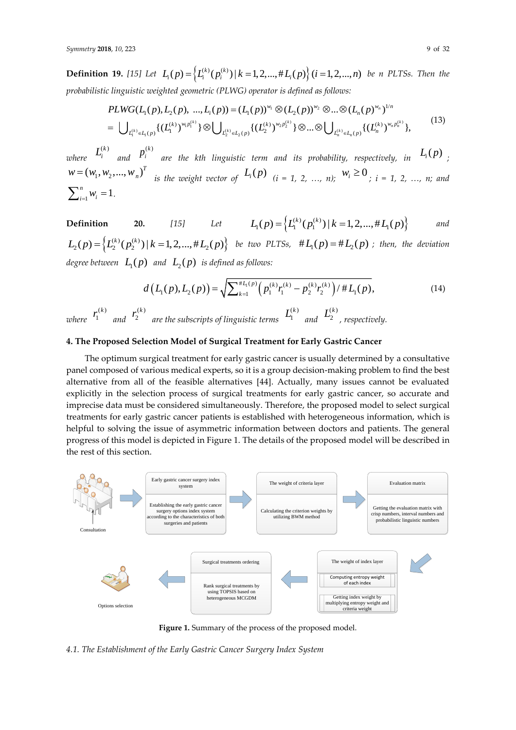**Definition 19.** [\[15\]](#page-29-9) Let  $L_i(p) = \Big\{L_i^{(k)}(p_i^{(k)}) \mid k = 1, 2, ..., \#L_i(p)\Big\}$   $(i = 1, 2, ..., n)$  be n PLTSs. Then the *probabilistic linguistic weighted geometric (PLWG) operator is defined as follows:*

$$
PLWG(L_1(p), L_2(p), ..., L_i(p)) = (L_1(p))^{w_1} \otimes (L_2(p))^{w_2} \otimes ... \otimes (L_n(p)^{w_n})^{1/n}
$$
  
= 
$$
\bigcup_{L_1^{(k)} \in L_1(p)} \{(L_1^{(k)})^{w_1 p_1^{(k)}}\} \otimes \bigcup_{L_2^{(k)} \in L_2(p)} \{(L_2^{(k)})^{w_2 p_2^{(k)}}\} \otimes ... \otimes \bigcup_{L_n^{(k)} \in L_n(p)} \{(L_n^{(k)})^{w_n p_n^{(k)}}\},
$$
(13)

*where*   $L_i^{(k)}$  and  $(k)$  $p_i^{(k)}$  are the kth linguistic term and its probability, respectively, in  $L_i(p)$  ;  $w = (w_1, w_2, ..., w_n)^T$  is the weight vector of  $L_i(p)$   $(i = 1, 2, ..., n);$   $w_i \ge 0$ ,  $i = 1, 2, ..., n;$  and  $\sum_{i=1}^{n} w_i = 1$  $\sum_{i=1}^{n} w_i = 1$ .

**Definition** 20. [15] Let 
$$
L_1(p) = \{L_1^{(k)}(p_1^{(k)}) | k = 1, 2, ..., \# L_1(p)\}
$$
 and  
 $L_2(p) = \{L_2^{(k)}(p_2^{(k)}) | k = 1, 2, ..., \# L_2(p)\}$  be two PLTs,  $\#L_1(p) = \#L_2(p)$ ; then, the deviation

degree between  $\ L_1(p)$  and  $\ L_2(p)$  is defined as follows:

$$
d(L_1(p), L_2(p)) = \sqrt{\sum_{k=1}^{\#L_1(p)} \left( p_1^{(k)} r_1^{(k)} - p_2^{(k)} r_2^{(k)} \right) / \#L_1(p)},
$$
\n(14)

*where*   $\cdot^{(k)}$  $r_1^{(k)}$  and  $\binom{k}{2}$ *k r are the subscripts of linguistic terms*   $(k)$ 1  $L_1^{(k)}$  and (k)<br>2  $L_{2}^{(k)}$  , respectively.

#### **4. The Proposed Selection Model of Surgical Treatment for Early Gastric Cancer**

The optimum surgical treatment for early gastric cancer is usually determined by a consultative panel composed of various medical experts, so it is a group decision-making problem to find the best alternative from all of the feasible alternatives [\[44\]](#page-30-14). Actually, many issues cannot be evaluated explicitly in the selection process of surgical treatments for early gastric cancer, so accurate and imprecise data must be considered simultaneously. Therefore, the proposed model to select surgical treatments for early gastric cancer patients is established with heterogeneous information, which is helpful to solving the issue of asymmetric information between doctors and patients. The general progress of this model is depicted in Figure 1. The details of the proposed model will be described in the rest of this section.



Figure 1. Summary of the process of the proposed model.

*4.1. The Establishment of the Early Gastric Cancer Surgery Index System*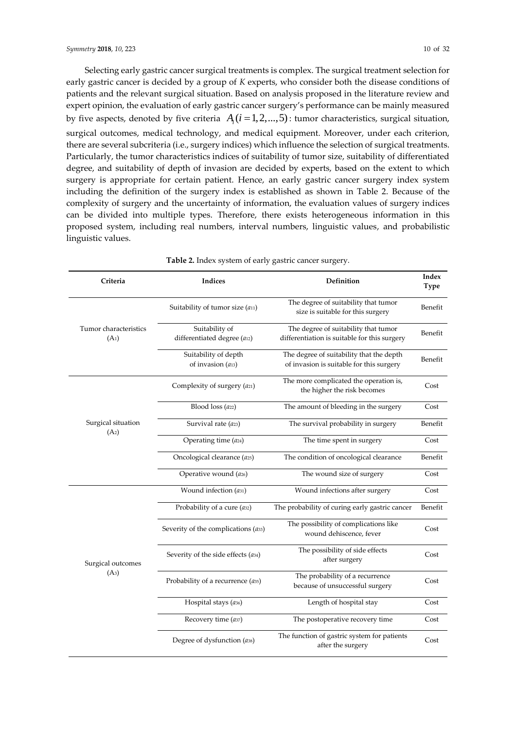Selecting early gastric cancer surgical treatments is complex. The surgical treatment selection for early gastric cancer is decided by a group of *K* experts, who consider both the disease conditions of patients and the relevant surgical situation. Based on analysis proposed in the literature review and expert opinion, the evaluation of early gastric cancer surgery's performance can be mainly measured by five aspects, denoted by five criteria  $A_i$  ( $i = 1, 2, ..., 5$ ): tumor characteristics, surgical situation, surgical outcomes, medical technology, and medical equipment. Moreover, under each criterion, there are several subcriteria (i.e., surgery indices) which influence the selection of surgical treatments. Particularly, the tumor characteristics indices of suitability of tumor size, suitability of differentiated degree, and suitability of depth of invasion are decided by experts, based on the extent to which surgery is appropriate for certain patient. Hence, an early gastric cancer surgery index system including the definition of the surgery index is established as shown in Table 2. Because of the complexity of surgery and the uncertainty of information, the evaluation values of surgery indices can be divided into multiple types. Therefore, there exists heterogeneous information in this proposed system, including real numbers, interval numbers, linguistic values, and probabilistic linguistic values.

| Criteria                                   | Indices                                             | Definition                                                                           | Index<br>Type |
|--------------------------------------------|-----------------------------------------------------|--------------------------------------------------------------------------------------|---------------|
|                                            | Suitability of tumor size $(a_{11})$                | The degree of suitability that tumor<br>size is suitable for this surgery            | Benefit       |
| Tumor characteristics<br>(A <sub>1</sub> ) | Suitability of<br>differentiated degree (a12)       | The degree of suitability that tumor<br>differentiation is suitable for this surgery | Benefit       |
|                                            | Suitability of depth<br>of invasion (a13)           | The degree of suitability that the depth<br>of invasion is suitable for this surgery | Benefit       |
|                                            | Complexity of surgery (a21)                         | The more complicated the operation is,<br>the higher the risk becomes                | Cost          |
|                                            | Blood loss (a22)                                    | The amount of bleeding in the surgery                                                | Cost          |
| Surgical situation                         | Survival rate (a23)                                 | The survival probability in surgery                                                  | Benefit       |
| (A <sub>2</sub> )                          | Operating time (a24)                                | The time spent in surgery                                                            | Cost          |
|                                            | Oncological clearance (a25)                         | The condition of oncological clearance                                               | Benefit       |
|                                            | Operative wound (a26)                               | The wound size of surgery                                                            | Cost          |
|                                            | Wound infection $(a_{31})$                          | Wound infections after surgery                                                       | Cost          |
|                                            | Probability of a cure $($ a32 $)$                   | The probability of curing early gastric cancer                                       | Benefit       |
|                                            | Severity of the complications $(a_{33})$            | The possibility of complications like<br>wound dehiscence, fever                     | Cost          |
| Surgical outcomes                          | Severity of the side effects $(a_{34})$             | The possibility of side effects<br>after surgery                                     | Cost          |
| $(A_3)$                                    | Probability of a recurrence $($ a <sub>35</sub> $)$ | The probability of a recurrence<br>because of unsuccessful surgery                   | Cost          |
|                                            | Hospital stays (a36)                                | Length of hospital stay                                                              | Cost          |
|                                            | Recovery time (a37)                                 | The postoperative recovery time                                                      | Cost          |
|                                            | Degree of dysfunction (ass)                         | The function of gastric system for patients<br>after the surgery                     | Cost          |

**Table 2.** Index system of early gastric cancer surgery.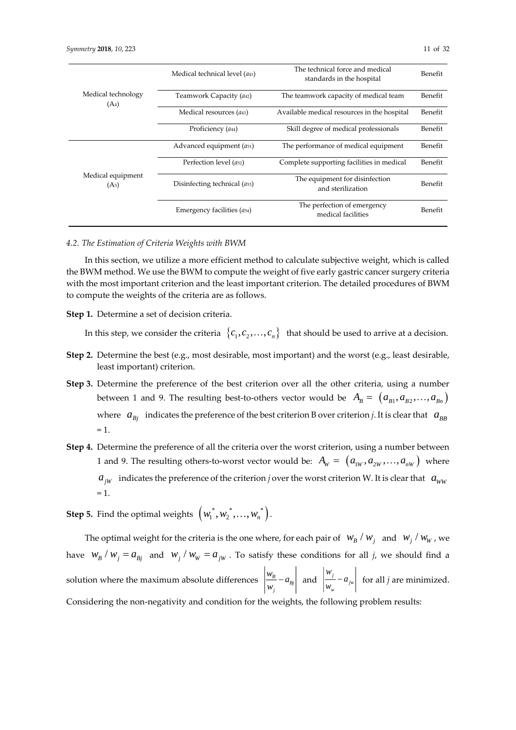|                                        | Medical technical level $(a_{41})$      | The technical force and medical<br>standards in the hospital | Benefit |
|----------------------------------------|-----------------------------------------|--------------------------------------------------------------|---------|
| Medical technology<br>$(A_4)$          | Teamwork Capacity (a42)                 | The teamwork capacity of medical team                        | Benefit |
|                                        | Medical resources $(a_{43})$            | Available medical resources in the hospital                  | Benefit |
|                                        | Proficiency (a <sub>44</sub> )          | Skill degree of medical professionals                        | Benefit |
|                                        | Advanced equipment $(a_{51})$           | The performance of medical equipment                         | Benefit |
|                                        | Perfection level (a <sub>52</sub> )     | Complete supporting facilities in medical                    | Benefit |
| Medical equipment<br>(A <sub>5</sub> ) | Disinfecting technical (a53)            | The equipment for disinfection<br>and sterilization          | Benefit |
|                                        | Emergency facilities (a <sub>54</sub> ) | The perfection of emergency<br>medical facilities            | Benefit |

#### *4.2. The Estimation of Criteria Weights with BWM*

In this section, we utilize a more efficient method to calculate subjective weight, which is called the BWM method. We use the BWM to compute the weight of five early gastric cancer surgery criteria with the most important criterion and the least important criterion. The detailed procedures of BWM to compute the weights of the criteria are as follows.

**Step 1.** Determine a set of decision criteria.

In this step, we consider the criteria  $\ \left\{c_{1}, c_{2}, ..., c_{n}\right\}\ \ \text{that should be used to arrive at a decision.}$ 

- **Step 2.** Determine the best (e.g., most desirable, most important) and the worst (e.g., least desirable, least important) criterion.
- **Step 3.** Determine the preference of the best criterion over all the other criteria, using a number between 1 and 9. The resulting best-to-others vector would be  $A_{\scriptscriptstyle B} = \left( a_{\scriptscriptstyle B1}, a_{\scriptscriptstyle B2}, \ldots, a_{\scriptscriptstyle Bn} \right)$ where  $a_{Bj}$  indicates the preference of the best criterion B over criterion *j*. It is clear that  $a_{BB}$  $= 1.$
- **Step 4.** Determine the preference of all the criteria over the worst criterion, using a number between 1 and 9. The resulting others-to-worst vector would be:  $A_w = (a_{1w}, a_{2w}, \ldots, a_{nw})$  where  $a_{jW}$  indicates the preference of the criterion *j* over the worst criterion W. It is clear that  $a_{WW}$  $= 1.$

 $\textsf{Step 5. Find the optimal weights: } \left( w_{1}^{*}, w_{2}^{*}, \ldots, w_{n}^{*} \right).$ 

The optimal weight for the criteria is the one where, for each pair of  $w_B / w_j$  and  $w_j / w_w$ , we have  $w_B/w_j = a_{Bj}$  and  $w_j/w_w = a_{jw}$ . To satisfy these conditions for all j, we should find a solution where the maximum absolute differences  $\frac{B}{2} - a_{B}$ *j*  $\frac{w_B}{a}$  – *a*  $\left| \frac{w_B}{w} - a_{Bj} \right|$  and  $\left| \frac{w_j}{w_j} \right|$  $\int_{w}$ <sup>*w*</sup> *w a*  $\left| \frac{v}{w}\right|$  for all *j* are minimized. Considering the non-negativity and condition for the weights, the following problem results: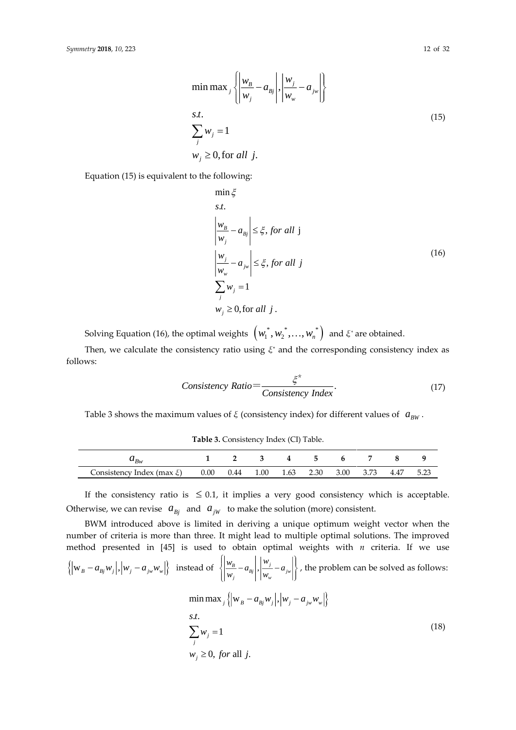$$
s.t. \n\sum_{j} w_{j} = 1 \n w_{j} \ge 0, \text{for all } j.
$$
\n(15)

Equation (15) is equivalent to the following:

$$
\min \xi
$$
\ns.t.  
\n
$$
\left| \frac{w_B}{w_j} - a_{Bj} \right| \leq \xi, \text{ for all } j
$$
\n
$$
\left| \frac{w_j}{w_w} - a_{jw} \right| \leq \xi, \text{ for all } j
$$
\n
$$
\sum_j w_j = 1
$$
\n
$$
w_j \geq 0, \text{ for all } j.
$$
\n(16)

Solving Equation (16), the optimal weights  $\, \left( w_{1}^{*}, w_{2}^{*}, \ldots, w_{n}^{*} \right) \,$  and  $\xi^{*}$  are obtained.

Then, we calculate the consistency ratio using  $\xi^*$  and the corresponding consistency index as follows:

$$
Consistency Ratio = \frac{\xi^*}{Consistency Index}.
$$
\n(17)

Table 3 shows the maximum values of *ξ* (consistency index) for different values of  $a_{\mu\nu}$ .

**Table 3.** Consistency Index (CI) Table.

| ${}^{\star}Bw$                 |          |      |      |      | $\overline{ }$ |      |      |      |      |
|--------------------------------|----------|------|------|------|----------------|------|------|------|------|
| Consistency Index (max $\xi$ ) | $0.00\,$ | 0.44 | 1.00 | 1.63 | 2.30           | 3.00 | 3.73 | 4.47 | 5.23 |

If the consistency ratio is  $\leq 0.1$ , it implies a very good consistency which is acceptable. Otherwise, we can revise  $a_{Bj}$  and  $a_{jW}$  to make the solution (more) consistent.

BWM introduced above is limited in deriving a unique optimum weight vector when the number of criteria is more than three. It might lead to multiple optimal solutions. The improved method presented in [\[45\]](#page-30-15) is used to obtain optimal weights with *n* criteria. If we use  $\left\{\left|w_B - a_{Bj}w_j\right|, \left|w_j - a_{jw}w_w\right|\right\}$  instead of  $\left\{\left|\frac{w_B}{w_j} - a_{Bj}\right|, \left|\frac{w_j}{w_w} - a_{jw}\right|\right\}$  $\left| \frac{w_B}{w} - a_{Bj} \right|, \left| \frac{w_j}{w} - a \right|$  $\left\{ \left| \frac{w_B}{\sigma} - a_{Bi} \right|, \left| \frac{w_j}{\sigma} - a_{iw} \right| \right\}$  $\left\langle \left| \frac{u_{B}}{w_{j}} - a_{Bj} \right|, \left| \frac{f}{w_{w}} - a_{jw} \right| \right\rangle$ , the problem can be solved as follows:  $\min \max_{j} \left\{ \left| \mathbf{w}_{B} - a_{Bj} w_{j} \right|, \left| w_{j} - a_{j w} w_{w} \right| \right\}.$ . . *s t*  $\sum_{j} w_{j} = 1$  $w_j \geq 0$ , *for* all *j*.  $\sum w_j =$ (18)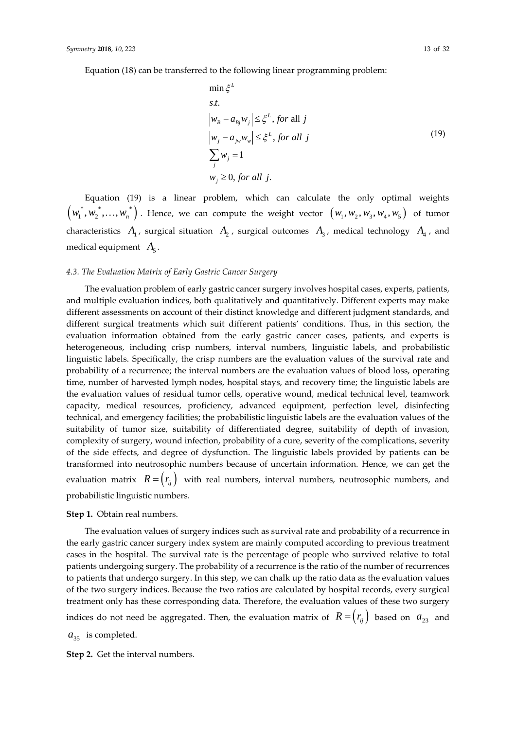Equation (18) can be transferred to the following linear programming problem:

$$
\min \xi^{L}
$$
\ns.t.  
\n
$$
|w_{B} - a_{Bj}w_{j}| \leq \xi^{L}, \text{ for all } j
$$
\n
$$
|w_{j} - a_{jw}w_{w}| \leq \xi^{L}, \text{ for all } j
$$
\n
$$
\sum_{j} w_{j} = 1
$$
\n
$$
w_{j} \geq 0, \text{ for all } j.
$$
\n(19)

Equation (19) is a linear problem, which can calculate the only optimal weights  $(w_1^*, w_2^*, \ldots, w_n^*)$  . Hence, we can compute the weight vector  $(w_1, w_2, w_3, w_4, w_5)$  of tumor characteristics  $A_1$ , surgical situation  $A_2$ , surgical outcomes  $A_3$ , medical technology  $A_4$ , and medical equipment  $A_5$ .

#### *4.3. The Evaluation Matrix of Early Gastric Cancer Surgery*

The evaluation problem of early gastric cancer surgery involves hospital cases, experts, patients, and multiple evaluation indices, both qualitatively and quantitatively. Different experts may make different assessments on account of their distinct knowledge and different judgment standards, and different surgical treatments which suit different patients' conditions. Thus, in this section, the evaluation information obtained from the early gastric cancer cases, patients, and experts is heterogeneous, including crisp numbers, interval numbers, linguistic labels, and probabilistic linguistic labels. Specifically, the crisp numbers are the evaluation values of the survival rate and probability of a recurrence; the interval numbers are the evaluation values of blood loss, operating time, number of harvested lymph nodes, hospital stays, and recovery time; the linguistic labels are the evaluation values of residual tumor cells, operative wound, medical technical level, teamwork capacity, medical resources, proficiency, advanced equipment, perfection level, disinfecting technical, and emergency facilities; the probabilistic linguistic labels are the evaluation values of the suitability of tumor size, suitability of differentiated degree, suitability of depth of invasion, complexity of surgery, wound infection, probability of a cure, severity of the complications, severity of the side effects, and degree of dysfunction. The linguistic labels provided by patients can be transformed into neutrosophic numbers because of uncertain information. Hence, we can get the evaluation matrix  $R = \left(r_{ij}\right)$  with real numbers, interval numbers, neutrosophic numbers, and probabilistic linguistic numbers.

#### **Step 1.** Obtain real numbers.

The evaluation values of surgery indices such as survival rate and probability of a recurrence in the early gastric cancer surgery index system are mainly computed according to previous treatment cases in the hospital. The survival rate is the percentage of people who survived relative to total patients undergoing surgery. The probability of a recurrence is the ratio of the number of recurrences to patients that undergo surgery. In this step, we can chalk up the ratio data as the evaluation values of the two surgery indices. Because the two ratios are calculated by hospital records, every surgical treatment only has these corresponding data. Therefore, the evaluation values of these two surgery indices do not need be aggregated. Then, the evaluation matrix of  $\ R = \left( r_{_{ij}} \right)$  based on  $\ a_{_{23}}$  and

 $a_{35}$  is completed.

**Step 2.** Get the interval numbers.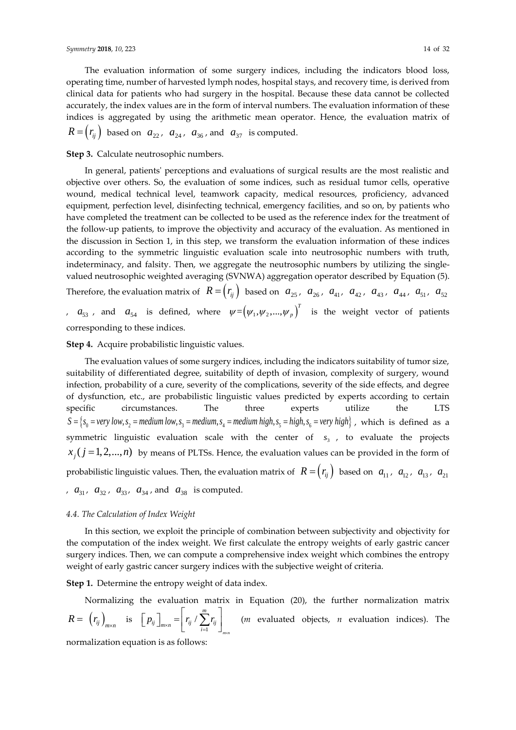The evaluation information of some surgery indices, including the indicators blood loss, operating time, number of harvested lymph nodes, hospital stays, and recovery time, is derived from clinical data for patients who had surgery in the hospital. Because these data cannot be collected accurately, the index values are in the form of interval numbers. The evaluation information of these indices is aggregated by using the arithmetic mean operator. Hence, the evaluation matrix of  $R = (r_{ij})$  based on  $a_{22}$ ,  $a_{24}$ ,  $a_{36}$ , and  $a_{37}$  is computed.

## **Step 3.** Calculate neutrosophic numbers.

In general, patients' perceptions and evaluations of surgical results are the most realistic and objective over others. So, the evaluation of some indices, such as residual tumor cells, operative wound, medical technical level, teamwork capacity, medical resources, proficiency, advanced equipment, perfection level, disinfecting technical, emergency facilities, and so on, by patients who have completed the treatment can be collected to be used as the reference index for the treatment of the follow-up patients, to improve the objectivity and accuracy of the evaluation. As mentioned in the discussion in Section 1, in this step, we transform the evaluation information of these indices according to the symmetric linguistic evaluation scale into neutrosophic numbers with truth, indeterminacy, and falsity. Then, we aggregate the neutrosophic numbers by utilizing the singlevalued neutrosophic weighted averaging (SVNWA) aggregation operator described by Equation (5). Therefore, the evaluation matrix of  $R = (r_{ij})$  based on  $a_{25}$ ,  $a_{26}$ ,  $a_{41}$ ,  $a_{42}$ ,  $a_{43}$ ,  $a_{44}$ ,  $a_{51}$ ,  $a_{52}$ ,  $a_{53}$ , and  $a_{54}$  is defined, where  $\psi = (\psi_1, \psi_2, ..., \psi_p)^T$  is the weight vector of patients corresponding to these indices.

#### **Step 4.** Acquire probabilistic linguistic values.

The evaluation values of some surgery indices, including the indicators suitability of tumor size, suitability of differentiated degree, suitability of depth of invasion, complexity of surgery, wound infection, probability of a cure, severity of the complications, severity of the side effects, and degree of dysfunction, etc., are probabilistic linguistic values predicted by experts according to certain specific circumstances. The three experts utilize the LTS  $S = \{s_0 = very\, low, s_2 = medium\, low, s_3 = medium, s_4 = medium\, high, s_5 = high, s_6 = very\, high\}$ , which is defined as a symmetric linguistic evaluation scale with the center of 3 *s* , to evaluate the projects  $x_j$  ( $j = 1, 2, ..., n$ ) *by means of PLTSs. Hence, the evaluation values can be provided in the form of* probabilistic linguistic values. Then, the evaluation matrix of  $\ R = \left(r_{_{ij}}\right) \ \hbox{\hskip 1pt{b}}$  based on  $\ a_{_{11}}$ ,  $\ a_{_{12}}$ ,  $\ a_{_{13}}$ ,  $\ a_{_{21}}$ ,  $a_{31}$ ,  $a_{32}$ ,  $a_{33}$ ,  $a_{34}$ , and  $a_{38}$  is computed.

## *4.4. The Calculation of Index Weight*

In this section, we exploit the principle of combination between subjectivity and objectivity for the computation of the index weight. We first calculate the entropy weights of early gastric cancer surgery indices. Then, we can compute a comprehensive index weight which combines the entropy weight of early gastric cancer surgery indices with the subjective weight of criteria.

**Step 1.** Determine the entropy weight of data index.

Normalizing the evaluation matrix in Equation (20), the further normalization matrix  $R = (r_{ij})_{m \times n}$  is  $[p_{ij}]_{m \times n} = r_{ij}/\sum_{i=1}^{n}$  $\sqrt{\sum_{m=1}^{m}}$ *ij*  $\int_{m \times n}$   $\left| \int_{i=1}^{i} j \right|^{t} \sum_{i=1}^{i} j^{i} j$  $\left[\right. p_{ij}\left.\right] _{m\times n}=\left[\right. r_{ij}\left/\sum_{i=1}^{m}r_{ij}\right]$ (*m* evaluated objects, *n* evaluation indices). The

normalization equation is as follows: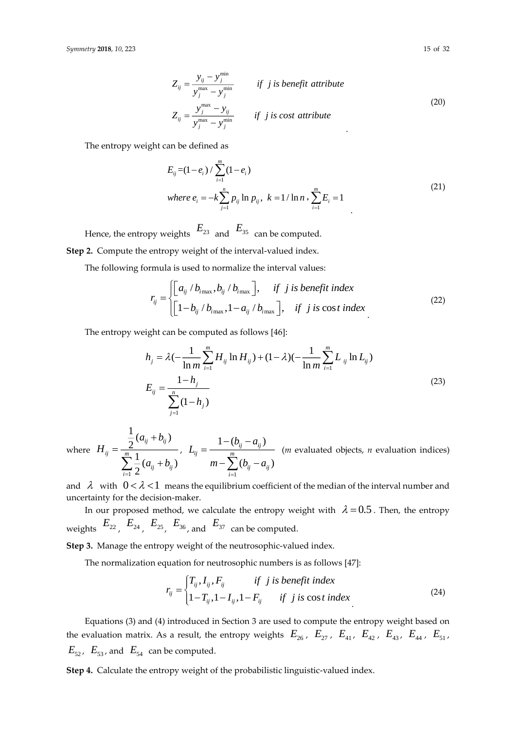$$
Z_{ij} = \frac{y_{ij} - y_j^{\text{min}}}{y_j^{\text{max}} - y_j^{\text{min}}}
$$
 if j is benefit attribute  

$$
Z_{ij} = \frac{y_j^{\text{max}} - y_{ij}}{y_j^{\text{max}} - y_j^{\text{min}}}
$$
 if j is cost attribute  
(20)

The entropy weight can be defined as

$$
E_{ij} = (1 - e_i) / \sum_{i=1}^{m} (1 - e_i)
$$
  
where  $e_i = -k \sum_{j=1}^{n} p_{ij} \ln p_{ij}$ ,  $k = 1 / \ln n$ ,  $\sum_{i=1}^{m} E_i = 1$  (21)

Hence, the entropy weights  $\begin{array}{cc} E_{23} & \text{and} \end{array}$   $\begin{array}{cc} E_{35} & \text{can be computed.} \end{array}$ **Step 2.** Compute the entropy weight of the interval-valued index.

The following formula is used to normalize the interval values:

$$
r_{ij} = \begin{cases} \left[a_{ij} / b_{i_{\text{max}}}, b_{ij} / b_{i_{\text{max}}} \right], & \text{if } j \text{ is benefit index} \\ \left[1 - b_{ij} / b_{i_{\text{max}}}, 1 - a_{ij} / b_{i_{\text{max}}} \right], & \text{if } j \text{ is cost index} \end{cases}
$$
(22)

The entropy weight can be computed as follows [\[46\]](#page-30-16):

$$
h_j = \lambda(-\frac{1}{\ln m} \sum_{i=1}^{m} H_{ij} \ln H_{ij}) + (1 - \lambda)(-\frac{1}{\ln m} \sum_{i=1}^{m} L_{ij} \ln L_{ij})
$$
  

$$
E_{ij} = \frac{1 - h_j}{\sum_{j=1}^{n} (1 - h_j)}
$$
(23)

where 1  $\frac{1}{2}(a_{ij}+b_{ij})$  $\frac{1}{2}(a_{ij}+b_{ij})$ *ij ij ij <sup>m</sup>*  $\sum_{i=1}$  2<sup>*i*</sup> *i*<sup>*j*</sup> *i*<sup>*i*</sup> *ij*  $a + b$ *H*  $a + b$ +  $=\frac{1}{\sum_{i=1}^{m} (a_{ij} +$ , 1  $1 - (b_{ii} - a_{ii})$  $(b_{ii} - a_{ii})$  $a_{ij} - a_{ij}$ *ij m*  $\sum_{i=1}^{\infty}$  ( $D_{ij} - a_{ij}$  $b_{ii} - a$ *L*  $m - \sum_{i=1}^{m} (b_{ii} - a)$ =  $-(b_{ii} - a_i)$ =  $-\sum_{ij}^{m} (b_{ij} - a_{ij})$ (*m* evaluated objects, *n* evaluation indices)

and  $\lambda$  with  $0<\lambda<1$  means the equilibrium coefficient of the median of the interval number and uncertainty for the decision-maker.

In our proposed method, we calculate the entropy weight with  $\lambda = 0.5$  . Then, the entropy weights  $\begin{array}{cc} E_{22}^{}, & E_{24}^{}, & E_{25}^{}, & E_{36}^{}, \end{array}$  and  $\begin{array}{cc} E_{37}^{}&$  can be computed.

**Step 3.** Manage the entropy weight of the neutrosophic-valued index.

The normalization equation for neutrosophic numbers is as follows [\[47\]](#page-30-17):

$$
r_{ij} = \begin{cases} T_{ij}, I_{ij}, F_{ij} & \text{if } j \text{ is benefit index} \\ 1 - T_{ij}, 1 - I_{ij}, 1 - F_{ij} & \text{if } j \text{ is cost index} \end{cases} \tag{24}
$$

Equations (3) and (4) introduced in Section 3 are used to compute the entropy weight based on the evaluation matrix. As a result, the entropy weights  $E_{26}$ ,  $E_{27}$ ,  $E_{41}$ ,  $E_{42}$ ,  $E_{43}$ ,  $E_{44}$ ,  $E_{51}$ ,  $E_{52}$ ,  $E_{53}$ , and  $E_{54}$  can be computed.

**Step 4.** Calculate the entropy weight of the probabilistic linguistic-valued index.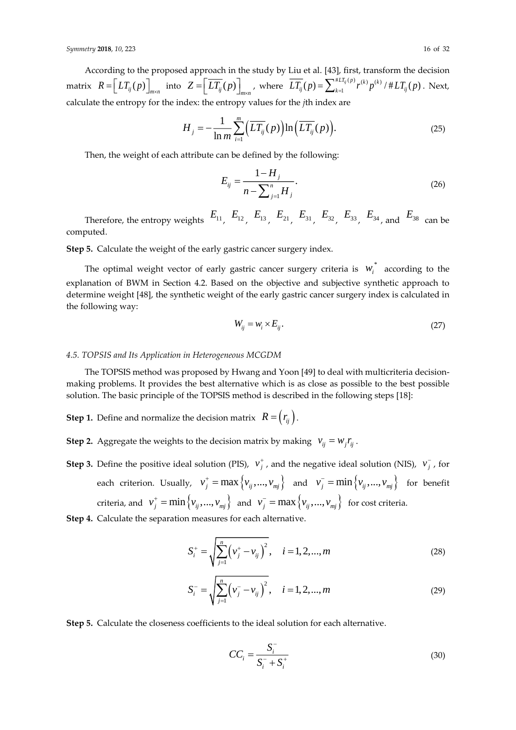According to the proposed approach in the study by Liu et al. [\[43\]](#page-30-13), first, transform the decision  $R = \left[ LT_{ij}(p) \right]_{m \times n}$  $=\left[ LT_{ij}(p)\right]_{m\times n}$  into  $Z=\left[ \overline{LT_{ij}}(p)\right]_{m\times n}$  $\left[\overline{LT_{ij}}(p)\right]_{m\times n}$ , where  $\overline{LT_{ij}}(p) = \sum_{k=1}^{#LT_{ij}(p)} r^{(k)} p^{(k)}$  $LT_{ij}(p) = \sum_{k=1}^{HLT_{ij}(p)} r^{(k)} p^{(k)} / # LT_{ij}(p)$ . Next, calculate the entropy for the index: the entropy values for the *j*th index are

$$
H_j = -\frac{1}{\ln m} \sum_{i=1}^{m} \Big( \overline{LT_{ij}}(p) \Big) \ln \Big( \overline{LT_{ij}}(p) \Big). \tag{25}
$$

Then, the weight of each attribute can be defined by the following:

$$
E_{ij} = \frac{1 - H_j}{n - \sum_{j=1}^{n} H_j}.
$$
\n(26)

Therefore, the entropy weights  $E_{11}$ ,  $E_{12}$ ,  $E_{13}$ ,  $E_{21}$ ,  $E_{31}$ ,  $E_{32}$ ,  $E_{33}$ ,  $E_{34}$ , and  $E_{38}$  can be computed.

**Step 5.** Calculate the weight of the early gastric cancer surgery index.

The optimal weight vector of early gastric cancer surgery criteria is  $w_i^*$  according to the explanation of BWM in Section 4.2. Based on the objective and subjective synthetic approach to determine weight [\[48\]](#page-30-18), the synthetic weight of the early gastric cancer surgery index is calculated in the following way:

$$
W_{ij} = W_i \times E_{ij}.
$$
\n<sup>(27)</sup>

## *4.5. TOPSIS and Its Application in Heterogeneous MCGDM*

The TOPSIS method was proposed by Hwang and Yoon [\[49\]](#page-30-19) to deal with multicriteria decisionmaking problems. It provides the best alternative which is as close as possible to the best possible solution. The basic principle of the TOPSIS method is described in the following steps [\[18\]](#page-29-12):

**Step 1.** Define and normalize the decision matrix  $R = \left(r_{ij}\right).$ 

**Step 2.** Aggregate the weights to the decision matrix by making  $v_{ij} = w_j r_{ij}$ .

**Step 3.** Define the positive ideal solution (PIS),  $v_j^+$ , and the negative ideal solution (NIS),  $v_j^-$ , for each criterion. Usually,  $v_j^+ = \max\left\{v_{ij},...,v_{mj}\right\}$  and  $v_j^- = \min\left\{v_{ij},...,v_{mj}\right\}$  for benefit criteria, and  $v_j^+ = \min\left\{v_{ij},...,v_{mj}\right\}$  and  $v_j^- = \max\left\{v_{ij},...,v_{mj}\right\}$  for cost criteria.

**Step 4.** Calculate the separation measures for each alternative.

$$
S_i^+ = \sqrt{\sum_{j=1}^n \left(v_j^+ - v_{ij}\right)^2}, \quad i = 1, 2, ..., m
$$
 (28)

$$
S_i^- = \sqrt{\sum_{j=1}^n (v_j^- - v_{ij})^2}, \quad i = 1, 2, ..., m
$$
 (29)

**Step 5.** Calculate the closeness coefficients to the ideal solution for each alternative.

$$
CC_i = \frac{S_i^-}{S_i^- + S_i^+}
$$
\n
$$
(30)
$$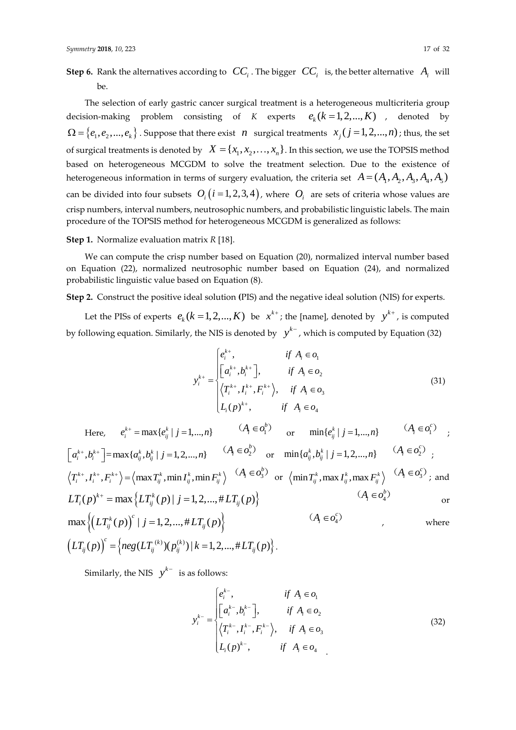${\sf Step~6.}$  Rank the alternatives according to  $\;\:CC_i$  . The bigger  $\;\:CC_i^{\phantom i}$  is, the better alternative  $\;\:A_i^{\phantom i}$  will be.

The selection of early gastric cancer surgical treatment is a heterogeneous multicriteria group decision-making problem consisting of *K* experts  $e_k (k = 1, 2, ..., K)$  , denoted by  $\Omega = \{e_1, e_2, ..., e_k\}$  . Suppose that there exist  $n$  surgical treatments  $x_j$  ( $j = 1, 2, ..., n$ ); thus, the set of surgical treatments is denoted by  $X = \{x_1, x_2, \ldots, x_n\}$ . In this section, we use the TOPSIS method based on heterogeneous MCGDM to solve the treatment selection. Due to the existence of heterogeneous information in terms of surgery evaluation, the criteria set  $A = (A_1, A_2, A_3, A_4, A_5)$ can be divided into four subsets  $O_i\big(i=1,2,3,4\big)$ , where  $\bigl.O_i\bigr|$  are sets of criteria whose values are crisp numbers, interval numbers, neutrosophic numbers, and probabilistic linguistic labels. The main procedure of the TOPSIS method for heterogeneous MCGDM is generalized as follows:

**Step 1.** Normalize evaluation matrix *R* [\[18\]](#page-29-12).

We can compute the crisp number based on Equation (20), normalized interval number based on Equation (22), normalized neutrosophic number based on Equation (24), and normalized probabilistic linguistic value based on Equation (8).

**Step 2.** Construct the positive ideal solution **(**PIS) and the negative ideal solution (NIS) for experts.

Let the PISs of experts  $e_k$  ( $k = 1, 2, ..., K$ ) be  $x^{k+}$ ; the [name], denoted by  $y^{k+}$ , is computed by following equation. Similarly, the NIS is denoted by  $\left\|y^{k^-}\right\rangle$ , which is computed by Equation (32)

$$
y_i^{k+} = \begin{cases} e_i^{k+}, & \text{if } A_i \in o_1 \\ \left[a_i^{k+}, b_i^{k+}\right], & \text{if } A_i \in o_2 \\ \left\langle T_i^{k+}, I_i^{k+}, F_i^{k+} \right\rangle, & \text{if } A_i \in o_3 \\ L_i(p)^{k+}, & \text{if } A_i \in o_4 \end{cases} \tag{31}
$$

Here, 
$$
e_i^{k+} = \max\{e_{ij}^k | j = 1,...,n\}
$$
  $(A_i \in o_1^b)$  or  $\min\{e_{ij}^k | j = 1,...,n\}$   $(A_i \in o_1^c)$ ;  
\n $[a_i^{k+}, b_i^{k+}] = \max\{a_{ij}^k, b_{ij}^k | j = 1, 2,...,n\}$   $(A_i \in o_2^b)$  or  $\min\{a_{ij}^k, b_{ij}^k | j = 1, 2,...,n\}$   $(A_i \in o_2^c)$ ;  
\n $\langle T_i^{k+}, T_i^{k+}, F_i^{k+}\rangle = \langle \max T_{ij}^k, \min T_{ij}^k, \min F_{ij}^k \rangle$   $(A_i \in o_3^b)$  or  $\langle \min T_{ij}^k, \max T_{ij}^k, \max F_{ij}^k \rangle$   $(A_i \in o_3^c)$ ; and  
\n $LT_i(p)^{k+} = \max\{LT_{ij}^k(p) | j = 1, 2,..., \# LT_{ij}(p)\}$   $(A_i \in o_4^c)$  or  
\n $\max\{ (LT_{ij}^k(p))^c | j = 1, 2,..., \# LT_{ij}(p) \}$   $(A_i \in o_4^c)$  where

$$
\max \left\{ \left( LT_{ij}^{k}(p) \right) \mid j=1,2,...,\# LT_{ij}(p) \right\}
$$
  

$$
\left( LT_{ij}(p) \right)^{c} = \left\{ neg(LT_{ij}^{(k)})(p_{ij}^{(k)}) \mid k=1,2,...,\# LT_{ij}(p) \right\}.
$$

Similarly, the NIS  $y^{k-}$  is as follows:

$$
y_i^{k-} = \begin{cases} e_i^{k-}, & \text{if } A_i \in o_1 \\ \left[a_i^{k-}, b_i^{k-}\right], & \text{if } A_i \in o_2 \\ \left\langle T_i^{k-}, I_i^{k-}, F_i^{k-} \right\rangle, & \text{if } A_i \in o_3 \\ L_i(p)^{k-}, & \text{if } A_i \in o_4 \end{cases} \tag{32}
$$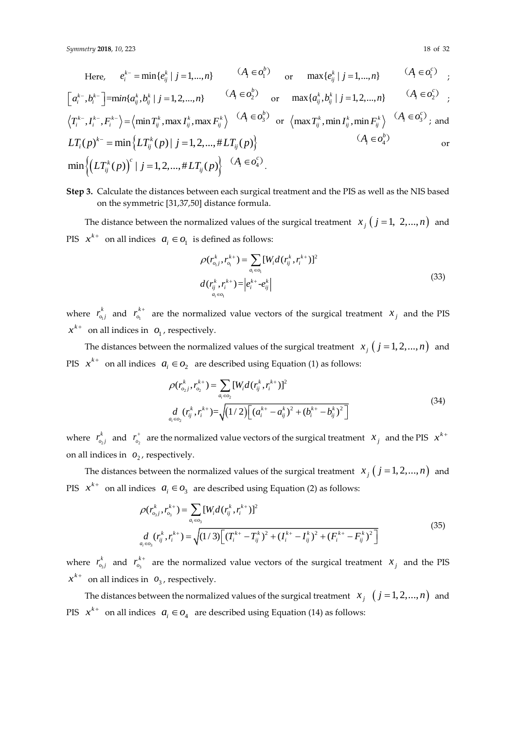Here, 
$$
e_i^{k-} = \min\{e_{ij}^k | j = 1,...,n\}
$$
  $(A_i \in o_1^b)$  or  $\max\{e_{ij}^k | j = 1,...,n\}$   $(A_i \in o_1^c)$ ;  
\n $[a_i^{k-}, b_i^{k-}] = \min\{a_{ij}^k, b_{ij}^k | j = 1, 2,...,n\}$   $(A_i \in o_2^b)$  or  $\max\{a_{ij}^k, b_{ij}^k | j = 1, 2,...,n\}$   $(A_i \in o_2^c)$ ;  
\n $\langle T_i^{k-}, I_i^{k-}, F_i^{k-}\rangle = \langle \min T_{ij}^k, \max T_{ij}^k, \max F_{ij}^k \rangle$   $(A_i \in o_3^b)$  or  $\langle \max T_{ij}^k, \min T_{ij}^k, \min F_{ij}^k \rangle$   $(A_i \in o_3^c)$ ; and  
\n $LT_i(p)^{k-} = \min\{LT_{ij}^k(p) | j = 1, 2,..., \# LT_{ij}(p)\}$   $(A_i \in o_4^c)$  or  
\n $\min\{ (LT_{ij}^k(p))^c | j = 1, 2,..., \# LT_{ij}(p) \}$   $(A_i \in o_4^c)$ .

**Step 3.** Calculate the distances between each surgical treatment and the PIS as well as the NIS based on the symmetric [31,37,50] distance formula.

The distance between the normalized values of the surgical treatment  $x_j$   $(j = 1, 2, ..., n)$  and PIS  $x^{k+}$  on all indices  $a_i \in O_1$  is defined as follows:

$$
\rho(r_{o_1j}^k, r_{o_1}^{k+}) = \sum_{a_i \in o_1} [W_i d(r_{ij}^k, r_i^{k+})]^2
$$
  

$$
d(r_{ij}^k, r_i^{k+}) = |e_i^{k+} - e_{ij}^k|
$$
 (33)

where  $r_{o_1}^{\sim}$  $r_{o_1j}^k$  and  $r_{o_1}^k$ *k*  $r_{o_1}^{k+1}$  are the normalized value vectors of the surgical treatment  $x_j$  and the PIS  $x^{k+}$  on all indices in  $o_1$ , respectively.

The distances between the normalized values of the surgical treatment  $x_j$   $(j = 1, 2, ..., n)$  and PIS  $x^{k+}$  on all indices  $a_i \in O_2$  are described using Equation (1) as follows:

$$
\rho(r_{o_2j}^k, r_{o_2}^{k+}) = \sum_{a_i \in o_2} [W_i d(r_{ij}^k, r_i^{k+})]^2
$$
\n
$$
d_{a_i \in o_2} (r_{ij}^k, r_i^{k+}) = \sqrt{(1/2) \Big[ (a_i^{k+} - a_{ij}^k)^2 + (b_i^{k+} - b_{ij}^k)^2 \Big]}
$$
\n(34)

where  $r_{o_2}^{\sim}$  $r_{o_2j}^k$  and  $r_{o_2}^+$  are the normalized value vectors of the surgical treatment  $\ x_j^-$  and the PIS  $\ x^{k+1}$ on all indices in  $o_2$ , respectively.

The distances between the normalized values of the surgical treatment  $x_j$   $(j = 1, 2, ..., n)$  and PIS  $x^{k+}$  on all indices  $a_i \in O_3$  are described using Equation (2) as follows:

$$
\rho(r_{o_{3}j}^{k}, r_{o_{3}}^{k+}) = \sum_{a_{i} \in o_{3}} [W_{i}d(r_{ij}^{k}, r_{i}^{k+})]^{2}
$$
\n
$$
d_{a_{i} \in o_{3}}(r_{ij}^{k}, r_{i}^{k+}) = \sqrt{(1/3)\Big[(T_{i}^{k+} - T_{ij}^{k})^{2} + (I_{i}^{k+} - I_{ij}^{k})^{2} + (F_{i}^{k+} - F_{ij}^{k})^{2}\Big]}
$$
\n(35)

where  $r_{o_3}^{\sim}$  $r_{o_3j}^k$  and  $r_{o_3}^k$ *k*  $r_{o_3}^{k+1}$  are the normalized value vectors of the surgical treatment  $x_j$  and the PIS  $x^{k+}$  on all indices in  $o_3$ , respectively.

The distances between the normalized values of the surgical treatment  $x_j \ \ (j = 1, 2, ..., n)$  and PIS  $x^{k+}$  on all indices  $a_i \in O_4$  are described using Equation (14) as follows: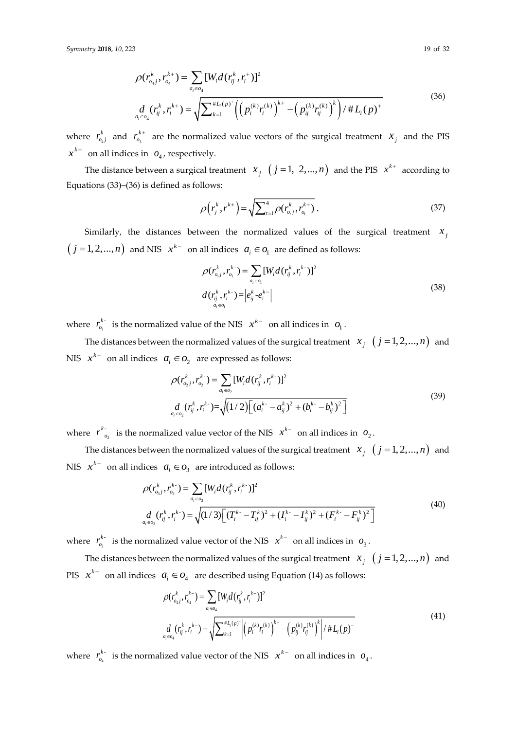$$
\rho(r_{o_{4}j}^{k}, r_{o_{4}}^{k+}) = \sum_{a_{i} \in o_{4}} [W_{i}d(r_{ij}^{k}, r_{i}^{+})]^{2}
$$
\n
$$
\frac{d}{a_{i} \in o_{4}}(r_{ij}^{k}, r_{i}^{k+}) = \sqrt{\sum_{k=1}^{\#L_{i}(p)^{+}} \left( \left( p_{i}^{(k)} r_{i}^{(k)} \right)^{k+} - \left( p_{ij}^{(k)} r_{ij}^{(k)} \right)^{k} \right) / \#L_{i}(p)^{+}}
$$
\n(36)

where  $r_{\tiny o_4}^{\tiny \wedge}$  $r_{o_4j}^k$  and  $r_{o_3}^k$ *k*  $r_{o_3}^{k+1}$  are the normalized value vectors of the surgical treatment  $x_j$  and the PIS  $x^{k+}$  on all indices in  $o_4$ , respectively.

The distance between a surgical treatment  $x_j$   $(j = 1, 2,...,n)$  and the PIS  $x^{k+}$  according to Equations (33)–(36) is defined as follows:

$$
\rho(r_j^k, r^{k+}) = \sqrt{\sum_{t=1}^4 \rho(r_{o,j}^k, r_{o_i}^{k+})} \,. \tag{37}
$$

Similarly, the distances between the normalized values of the surgical treatment  $x_j$  $(j = 1, 2, ..., n)$  and NIS  $x^{k-}$  on all indices  $a_i \in o_1$  are defined as follows:

$$
\rho(r_{o_i}^k, r_{o_i}^{k}) = \sum_{a_i \in o_i} [W_i d(r_{ij}^k, r_i^{k})]^2
$$
  

$$
d(r_{ij}^k, r_i^{k}) = |e_{ij}^k - e_i^{k-}|
$$
  

$$
a_i \in o_i
$$
 (38)

where  $r_{o_1}^{\prime}$ *k*  $r_{o_1}^{k-}$  is the normalized value of the NIS  $x^{k-}$  on all indices in  $o_1$ .

The distances between the normalized values of the surgical treatment  $x_j \ \ (j = 1, 2, ..., n)$  and NIS  $x^{k-}$  on all indices  $a_i \in O_2$  are expressed as follows:<br> $\rho(r_{o_2}^k, r_{o_2}^{k-}) = \sum [W_i d(r_{ij}^k, r_i^{k-})]^2$ 

$$
\rho(r_{o_2j}^k, r_{o_2}^{k}) = \sum_{a_i \in o_2} [W_i d(r_{ij}^k, r_i^{k-})]^2
$$
  

$$
\frac{d}{dt} (r_{ij}^k, r_i^{k-}) = \sqrt{(1/2) [(a_i^{k-} - a_{ij}^k)^2 + (b_i^{k-} - b_{ij}^k)^2]}
$$
(39)

where  $r_{o_2}$ *k*  $r_{o}^{k}$  is the normalized value vector of the NIS  $x^{k-}$  on all indices in  $o_2$ .

The distances between the normalized values of the surgical treatment  $x_j \ \ (j=1,2,...,n)$  and NIS  $x^{k-}$  on all indices  $a_i \in O_3$  are introduced as follows:

$$
\rho(r_{o_3j}^k, r_{o_3}^{k}) = \sum_{a_i \in o_3} [W_i d(r_{ij}^k, r_i^{k-})]^2
$$
\n
$$
d_{a_i \in o_3} (r_{ij}^k, r_i^{k-}) = \sqrt{(1/3) \Big[ (T_i^{k-} - T_{ij}^k)^2 + (I_i^{k-} - I_{ij}^k)^2 + (F_i^{k-} - F_{ij}^k)^2 \Big]}
$$
\n
$$
(40)
$$

where  $r_{o_3}^{\prime}$ *k*  $r_{o_3}^{k-}$  is the normalized value vector of the NIS  $x^{k-}$  on all indices in  $o_3$ .

The distances between the normalized values of the surgical treatment  $x_j \ \ (j = 1, 2, ..., n)$  and PIS  $x^{k-}$  on all indices  $a_i \in O_4$  are described using Equation (14) as follows:

$$
\rho(r_{o_{4}j}^{k}, r_{o_{4}}^{k}) = \sum_{a_{i} \in o_{4}} [W_{i}d(r_{ij}^{k}, r_{i}^{k-})]^{2}
$$
\n
$$
d_{a_{i} \in o_{4}}(r_{ij}^{k}, r_{i}^{k-}) = \sqrt{\sum_{k=1}^{\#I_{i}(p)} \left| \left( p_{i}^{(k)} r_{i}^{(k)} \right)^{k-} - \left( p_{ij}^{(k)} r_{ij}^{(k)} \right)^{k} \right| / \#L_{i}(p)^{-}}
$$
\n(41)

where  $r_{\scriptscriptstyle \!0_{4}}^{\scriptscriptstyle \prime}$ *k*  $r_{o_4}^{k}$  is the normalized value vector of the NIS  $x^{k-}$  on all indices in  $o_4$ .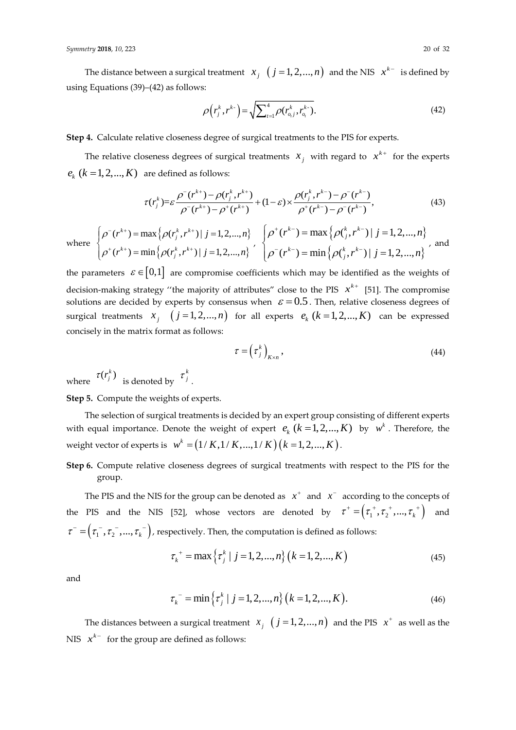The distance between a surgical treatment  $x_j$   $(j = 1, 2, ..., n)$  and the NIS  $x^{k-}$  is defined by using Equations (39)–(42) as follows:

$$
\rho(r_j^k, r^{k}) = \sqrt{\sum_{t=1}^4 \rho(r_{o,i}^k, r_{o_i}^{k-})}.
$$
\n(42)

**Step 4.** Calculate relative closeness degree of surgical treatments to the PIS for experts.

The relative closeness degrees of surgical treatments  $x_j$  with regard to  $x^{k+}$  for the experts  $e_{\scriptscriptstyle k}$   $(k = 1,2,...,K)$  are defined as follows:

$$
\tau(r_j^k) = \varepsilon \frac{\rho^-(r^{k+}) - \rho(r_j^k, r^{k+})}{\rho^-(r^{k+}) - \rho^+(r^{k+})} + (1 - \varepsilon) \times \frac{\rho(r_j^k, r^{k-}) - \rho^-(r^{k-})}{\rho^+(r^{k-}) - \rho^-(r^{k-})},
$$
\n(43)

 $w$ 

here 
$$
\begin{cases} \rho^-(r^{k+}) = \max \left\{ \rho(r_j^k, r^{k+}) | j = 1, 2, ..., n \right\} \\ \rho^+(r^{k+}) = \min \left\{ \rho(r_j^k, r^{k+}) | j = 1, 2, ..., n \right\} \end{cases}, \quad \begin{cases} \rho^+(r^{k-}) = \max \left\{ \rho(\binom{k}{j}, r^{k-}) | j = 1, 2, ..., n \right\} \\ \rho^-(r^{k-}) = \min \left\{ \rho(\binom{k}{j}, r^{k-}) | j = 1, 2, ..., n \right\} \end{cases},
$$

the parameters  $\varepsilon \in [0,1]$  are compromise coefficients which may be identified as the weights of decision-making strategy "the majority of attributes" close to the PIS  $x^{k+}$  [\[51\]](#page-31-0). The compromise solutions are decided by experts by consensus when  $\;\varepsilon\!=\!0.5$  . Then, relative closeness degrees of surgical treatments  $x_j$   $(j = 1, 2, ..., n)$  for all experts  $e_k$   $(k = 1, 2, ..., K)$  can be expressed concisely in the matrix format as follows:

$$
\tau = \left(\tau_j^k\right)_{K \times n},\tag{44}
$$

where  $\tau(r_j^k)$  is denoted by *k*  $\tau_{j}$ .

**Step 5.** Compute the weights of experts.

The selection of surgical treatments is decided by an expert group consisting of different experts with equal importance. Denote the weight of expert  $e_k$   $(k = 1, 2, ..., K)$  by  $w^k$  . Therefore, the  $w^k = \left(1/K, 1/K, \ldots, 1/K\right) \left(k = 1, 2, ..., K\right).$ 

**Step 6.** Compute relative closeness degrees of surgical treatments with respect to the PIS for the group.

The PIS and the NIS for the group can be denoted as  $x^+$  and  $x^-$  according to the concepts of the PIS and the NIS [\[52\]](#page-31-1), whose vectors are denoted by  $\tau^+ = (\tau_1^+, \tau_2^+, ..., \tau_k^+)$  and  $\tau^- = (\tau_1^-, \tau_2^-, ..., \tau_k^-)$ , respectively. Then, the computation is defined as follows:

$$
\tau_k^+ = \max\left\{\tau_j^k \mid j = 1, 2, ..., n\right\} \left(k = 1, 2, ..., K\right)
$$
\n(45)

and

$$
\tau_k^- = \min\left\{\tau_j^k \mid j = 1, 2, ..., n\right\} \left(k = 1, 2, ..., K\right). \tag{46}
$$

The distances between a surgical treatment  $x_j$   $(j = 1, 2, ..., n)$  and the PIS  $x^+$  as well as the NIS  $x^{k-1}$  for the group are defined as follows: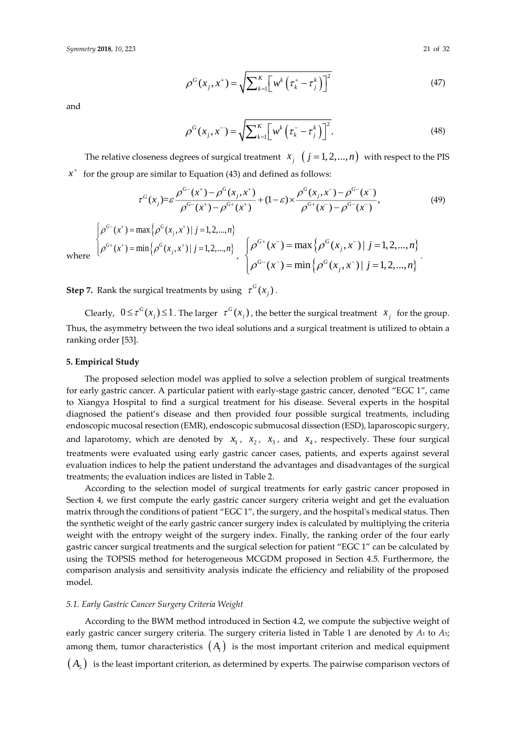$$
\rho^{G}(x_{j}, x^{+}) = \sqrt{\sum_{k=1}^{K} \left[ w^{k} \left( \tau_{k}^{+} - \tau_{j}^{k} \right) \right]^{2}}
$$
(47)

and

$$
\rho^G(x_j, x^-) = \sqrt{\sum_{k=1}^K \left[w^k \left(\tau_k^- - \tau_j^k\right)\right]^2}.
$$
\n(48)

The relative closeness degrees of surgical treatment  $x_j \, (j = 1, 2, ..., n)$  with respect to the PIS  $x^+$  for the group are similar to Equation (43) and defined as follows:

$$
\tau^{G}(x_{j}) = \varepsilon \frac{\rho^{G^{-}}(x^{+}) - \rho^{G}(x_{j}, x^{+})}{\rho^{G^{-}}(x^{+}) - \rho^{G^{+}}(x^{+})} + (1 - \varepsilon) \times \frac{\rho^{G}(x_{j}, x^{-}) - \rho^{G^{-}}(x^{-})}{\rho^{G^{+}}(x^{-}) - \rho^{G^{-}}(x^{-})},
$$
\n(49)

$$
\begin{cases}\n\rho^{G^-}(x^+) = \max \left\{ \rho^G(x_j, x^+) \mid j = 1, 2, ..., n \right\} \\
\rho^{G^+}(x^+) = \min \left\{ \rho^G(x_j, x^+) \mid j = 1, 2, ..., n \right\}, \quad \left\{ \rho^{G^+}(x^-) = \max \left\{ \rho^G(x_j, x^-) \mid j = 1, 2, ..., n \right\} \right. \\
\rho^{G^-}(x^-) = \min \left\{ \rho^G(x_j, x^-) \mid j = 1, 2, ..., n \right\}.\n\end{cases}
$$

 $wh$ 

**Step 7.** Rank the surgical treatments by using  $\tau^G(x_j)$ .

Clearly,  $0 \le \tau^G(x_j) \le 1$ . The larger  $\tau^G(x_j)$ , the better the surgical treatment  $x_j$  for the group. Thus, the asymmetry between the two ideal solutions and a surgical treatment is utilized to obtain a ranking order [\[53\]](#page-31-2).

#### **5. Empirical Study**

The proposed selection model was applied to solve a selection problem of surgical treatments for early gastric cancer. A particular patient with early-stage gastric cancer, denoted "EGC 1", came to Xiangya Hospital to find a surgical treatment for his disease. Several experts in the hospital diagnosed the patient's disease and then provided four possible surgical treatments, including endoscopic mucosal resection (EMR), endoscopic submucosal dissection (ESD), laparoscopic surgery, and laparotomy, which are denoted by  $x_1$ ,  $x_2$ ,  $x_3$ , and  $x_4$ , respectively. These four surgical treatments were evaluated using early gastric cancer cases, patients, and experts against several evaluation indices to help the patient understand the advantages and disadvantages of the surgical treatments; the evaluation indices are listed in Table 2.

According to the selection model of surgical treatments for early gastric cancer proposed in Section 4, we first compute the early gastric cancer surgery criteria weight and get the evaluation matrix through the conditions of patient "EGC 1", the surgery, and the hospital's medical status. Then the synthetic weight of the early gastric cancer surgery index is calculated by multiplying the criteria weight with the entropy weight of the surgery index. Finally, the ranking order of the four early gastric cancer surgical treatments and the surgical selection for patient "EGC 1" can be calculated by using the TOPSIS method for heterogeneous MCGDM proposed in Section 4.5. Furthermore, the comparison analysis and sensitivity analysis indicate the efficiency and reliability of the proposed model.

#### *5.1. Early Gastric Cancer Surgery Criteria Weight*

According to the BWM method introduced in Section 4.2, we compute the subjective weight of early gastric cancer surgery criteria. The surgery criteria listed in Table 1 are denoted by *A*<sup>1</sup> to *A*5; among them, tumor characteristics  $\,\big(A_1\big)\,$  is the most important criterion and medical equipment

 $\left( A_{_{5}}\right)~$  is the least important criterion, as determined by experts. The pairwise comparison vectors of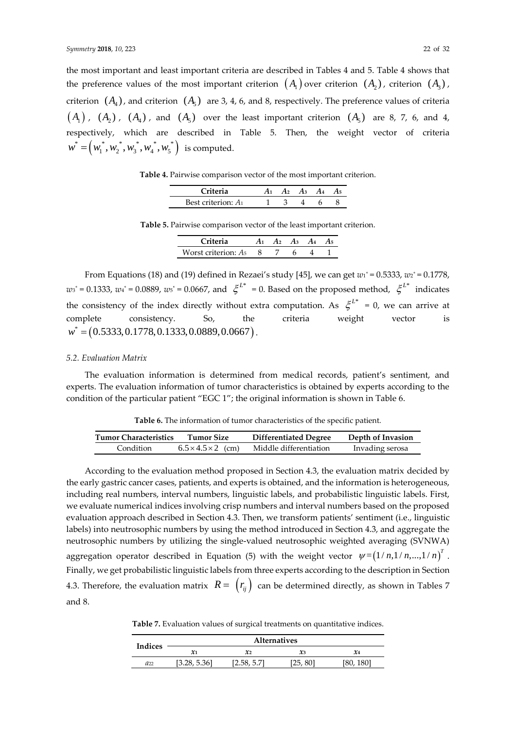the most important and least important criteria are described in Tables 4 and 5. Table 4 shows that the preference values of the most important criterion  $(A_1)$  over criterion  $(A_2)$ , criterion  $(A_3)$ , criterion  $(A_4)$ , and criterion  $(A_5)$  are 3, 4, 6, and 8, respectively. The preference values of criteria  $\left( A_1 \right)$  ,  $\left( A_2 \right)$  ,  $\left( A_4 \right)$  , and  $\left( A_5 \right)$  over the least important criterion  $\left( A_5 \right)$  are 8, 7, 6, and 4, respectively, which are described in Table 5. Then, the weight vector of criteria  $w^* = (w_1^*, w_2^*, w_3^*, w_4^*, w_5^*)$  is computed.

**Table 4.** Pairwise comparison vector of the most important criterion.

| <b>Triteria</b>       |  | Aз | 15 |
|-----------------------|--|----|----|
| Best criterion: $A_1$ |  |    |    |

**Table 5.** Pairwise comparison vector of the least important criterion.

| Criteria                        | A, | Aз |  |
|---------------------------------|----|----|--|
| Worst criterion: A <sub>5</sub> |    |    |  |

From Equations (18) and (19) defined in Rezaei's study [\[45\]](#page-30-15), we can get  $w_1^* = 0.5333$ ,  $w_2^* = 0.1778$ ,  $w_3^* = 0.1333$ ,  $w_4^* = 0.0889$ ,  $w_5^* = 0.0667$ , and  $\zeta^{L^*} = 0$ . Based on the proposed method,  $\zeta^{L^*}$  indicates the consistency of the index directly without extra computation. As  $\xi^{L^*} = 0$ , we can arrive at complete consistency. So, the criteria weight vector is  $w^* = (0.5333, 0.1778, 0.1333, 0.0889, 0.0667).$ 

#### *5.2. Evaluation Matrix*

The evaluation information is determined from medical records, patient's sentiment, and experts. The evaluation information of tumor characteristics is obtained by experts according to the condition of the particular patient "EGC 1"; the original information is shown in Table 6.

| <b>Tumor Characteristics</b> | <b>Tumor Size</b>              | <b>Differentiated Degree</b> | Depth of Invasion |
|------------------------------|--------------------------------|------------------------------|-------------------|
| Condition                    | $6.5 \times 4.5 \times 2$ (cm) | Middle differentiation       | Invading serosa   |

According to the evaluation method proposed in Section 4.3, the evaluation matrix decided by the early gastric cancer cases, patients, and experts is obtained, and the information is heterogeneous, including real numbers, interval numbers, linguistic labels, and probabilistic linguistic labels. First, we evaluate numerical indices involving crisp numbers and interval numbers based on the proposed evaluation approach described in Section 4.3. Then, we transform patients' sentiment (i.e., linguistic labels) into neutrosophic numbers by using the method introduced in Section 4.3, and aggregate the neutrosophic numbers by utilizing the single-valued neutrosophic weighted averaging (SVNWA) aggregation operator described in Equation (5) with the weight vector  $\psi = \left(1/n, 1/n, ..., 1/n\right)^T$ . Finally, we get probabilistic linguistic labels from three experts according to the description in Section 4.3. Therefore, the evaluation matrix  $R = \begin{pmatrix} r_{ij} \end{pmatrix}$  can be determined directly, as shown in Tables 7 and 8.

**Table 7.** Evaluation values of surgical treatments on quantitative indices.

| Indices  | <b>Alternatives</b> |                |          |           |  |  |
|----------|---------------------|----------------|----------|-----------|--|--|
|          | $\pmb{\chi}_1$      | $\mathcal{X}2$ | $\chi_3$ | $x_4$     |  |  |
| $a_{22}$ | [3.28, 5.36]        | [2.58, 5.7]    | [25, 80] | [80, 180] |  |  |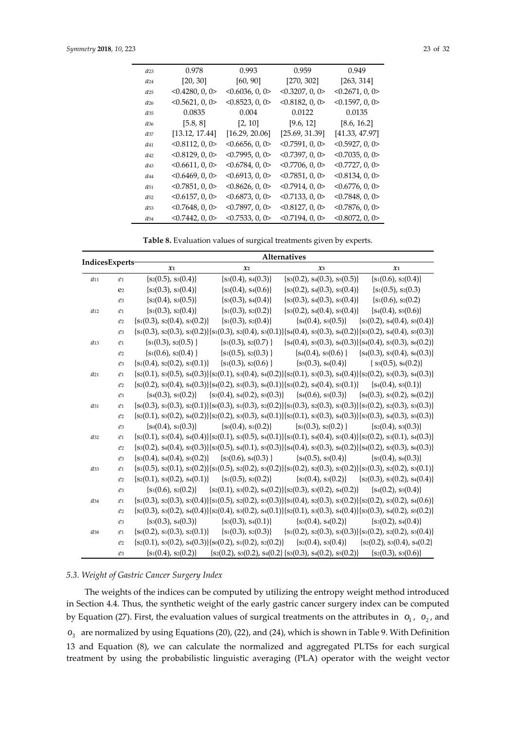| $a_{23}$ | 0.978           | 0.993                | 0.959                | 0.949                |
|----------|-----------------|----------------------|----------------------|----------------------|
| $a_{24}$ | [20, 30]        | [60, 90]             | [270, 302]           | [263, 314]           |
| $a_{25}$ | < 0.4280, 0, 0  | < 0.6036, 0, 0       | < 0.3207, 0, 0       | < 0.2671, 0, 0       |
| $a_{26}$ | < 0.5621, 0, 0  | $< 0.8523$ , 0, 0>   | < 0.8182, 0, 0       | $<$ 0.1597, 0, 0 $>$ |
| $a_{35}$ | 0.0835          | 0.004                | 0.0122               | 0.0135               |
| $a_{36}$ | [5.8, 8]        | [2, 10]              | [9.6, 12]            | [8.6, 16.2]          |
| $a_{37}$ | [13.12, 17.44]  | [16.29, 20.06]       | [25.69, 31.39]       | [41.33, 47.97]       |
| $a_{41}$ | < 0.8112, 0, 0  | < 0.6656, 0, 0       | < 0.7591, 0, 0       | < 0.5927, 0.0        |
| $a_{42}$ | < 0.8129, 0, 0  | < 0.7995, 0, 0       | $<$ 0.7397, 0, 0 $>$ | $<$ 0.7035, 0, 0 $>$ |
| $a_{43}$ | < 0.6611, 0, 0> | < 0.6784, 0, 0       | < 0.7706, 0, 0       | < 0.7727, 0, 0       |
| $a_{44}$ | < 0.6469, 0, 0  | $< 0.6913$ , 0, 0>   | < 0.7851, 0, 0       | < 0.8134, 0, 0       |
| $a_{51}$ | < 0.7851, 0, 0  | < 0.8626, 0, 0       | < 0.7914, 0, 0       | <0.6776, 0, 0>       |
| $a_{52}$ | <0.6157, 0, 0>  | $<$ 0.6873, 0, 0>    | < 0.7133, 0, 0       | < 0.7848, 0, 0       |
| $a_{53}$ | < 0.7648, 0, 0  | $<$ 0.7897, 0, 0 $>$ | < 0.8127, 0, 0       | < 0.7876, 0, 0       |
| $a_{54}$ | 0.7442, 0, 0    | < 0.7533, 0, 0       | < 0.7194, 0, 0       | $<$ 0.8072, 0, 0>    |

**Table 8.** Evaluation values of surgical treatments given by experts.

| IndicesExperts- |                           | <b>Alternatives</b>                                            |                           |                                                                                                                                                |                                                  |  |  |
|-----------------|---------------------------|----------------------------------------------------------------|---------------------------|------------------------------------------------------------------------------------------------------------------------------------------------|--------------------------------------------------|--|--|
|                 |                           | $\mathfrak{x}_1$                                               | $\mathfrak{X}2$           | $x_3$                                                                                                                                          | $\mathfrak{x}_1$                                 |  |  |
| $a_{11}$        | $\mathcal{C}1$            | $\{s_2(0.5), s_3(0.4)\}\$                                      | $\{s_3(0.4), s_4(0.3)\}\$ | $\{s_3(0.2), s_4(0.3), s_5(0.5)\}\$                                                                                                            | ${s1(0.6), s2(0.4)}$                             |  |  |
|                 | e <sub>2</sub>            | $\{s_2(0.3), s_3(0.4)\}\$                                      | $\{s_3(0.4), s_4(0.6)\}\$ | $\{s_3(0.2), s_4(0.3), s_5(0.4)\}\$                                                                                                            | $\{s_1(0.5), s_2(0.3)\}$                         |  |  |
|                 | $e_3$                     | $\{s_2(0.4), s_3(0.5)\}\$                                      | $\{s_3(0.3), s_4(0.4)\}\$ | $\{s_3(0.3), s_4(0.3), s_5(0.4)\}\$                                                                                                            | $\{s_1(0.6), s_2(0.2)\}$                         |  |  |
| $a_{12}$        | $e_1$                     | ${s1(0.3), s2(0.4)}$                                           | ${s1(0.3), s2(0.2)}$      | $\{s_3(0.2), s_4(0.4), s_5(0.4)\}\$                                                                                                            | ${s_4(0.4), s_5(0.6)}$                           |  |  |
|                 | e <sub>2</sub>            | ${s_1(0.3), s_2(0.4), s_3(0.2)}$                               | ${s1(0.3), s2(0.4)}$      | $\{s_4(0.4), s_5(0.5)\}$ $\{s_3(0.2), s_4(0.4), s_5(0.4)\}$                                                                                    |                                                  |  |  |
|                 | $e_3$                     |                                                                |                           | $\{s_1(0.3), s_2(0.3), s_3(0.2)\}\{s_1(0.3), s_2(0.4), s_3(0.1)\}\{s_4(0.4), s_5(0.3), s_6(0.2)\}\{s_3(0.2), s_4(0.4), s_5(0.3)\}$             |                                                  |  |  |
| $a_{13}$        | $\ell$ 1                  | ${s1(0.3), s2(0.5)}$                                           | $\{s_1(0.3), s_2(0.7)\}\$ | $\{s_4(0.4), s_5(0.3), s_6(0.3)\}\{s_4(0.4), s_5(0.3), s_6(0.2)\}$                                                                             |                                                  |  |  |
|                 | e <sub>2</sub>            | $\{s_1(0.6), s_2(0.4)\}\$                                      | $\{s_1(0.5), s_2(0.3)\}\$ | $\{s_4(0.4), s_5(0.6)\}$                                                                                                                       | $\{s_4(0.3), s_5(0.4), s_6(0.3)\}\$              |  |  |
|                 | $e_3$                     | $\{s_1(0.4), s_2(0.2), s_3(0.1)\}\$                            | ${s1(0.3), s2(0.6)}$      | $\{s_5(0.3), s_6(0.4)\}\$                                                                                                                      | $\{$ s <sub>5</sub> (0.5), s <sub>6</sub> (0.2)} |  |  |
| $a_{21}$        | $\mathfrak{\mathcal{C}}1$ |                                                                |                           | ${s2(0.1), s3(0.5), s4(0.3)}{s2(0.1), s3(0.4), s4(0.2)}{s2(0.1), s3(0.3), s4(0.4)}{s2(0.2), s3(0.3), s4(0.3)}$                                 |                                                  |  |  |
|                 | e <sub>2</sub>            |                                                                |                           | ${s2(0.2), s3(0.4), s4(0.3)}{s4(0.3)}$ ${s(0.2), s5(0.3), s6(0.1)}$ ${s3(0.2), s4(0.4), s5(0.1)}$ ${s4(0.4), s5(0.1)}$                         |                                                  |  |  |
|                 | $e_3$                     | $\{s_4(0.3), s_5(0.2)\}\$                                      |                           | ${s3(0.4), s4(0.2), s5(0.3)}$ ${s4(0.6), s5(0.3)}$ ${s4(0.3), s5(0.2), s6(0.2)}$                                                               |                                                  |  |  |
| $a_{31}$        | $\mathfrak{e}_1$          |                                                                |                           | $\{s_0(0.3), s_1(0.3), s_2(0.1)\}\{s_0(0.3), s_1(0.3), s_2(0.2)\}\{s_1(0.3), s_2(0.3), s_3(0.3)\}\{s_1(0.2), s_2(0.3), s_3(0.3)\}\$            |                                                  |  |  |
|                 | e <sub>2</sub>            |                                                                |                           | ${s2(0.1), s3(0.2), s4(0.2)}$ {s2(0.2), s3(0.3), s4(0.1)}{s2(0.1), s3(0.3), s4(0.3)}{s3(0.3), s4(0.3), s5(0.3)}                                |                                                  |  |  |
|                 | $e_3$                     | $\{s_0(0.4), s_1(0.3)\}\$                                      | $\{s_0(0.4), s_1(0.2)\}\$ | $\{s_1(0.3), s_2(0.2)\}\$                                                                                                                      | $\{s_2(0.4), s_3(0.3)\}\$                        |  |  |
| a32             | $\ell$ 1                  |                                                                |                           | $\{s_2(0.1), s_3(0.4), s_4(0.4)\}\{s_2(0.1), s_3(0.5), s_4(0.1)\}\{s_3(0.1), s_4(0.4), s_5(0.4)\}\{s_2(0.2), s_3(0.1), s_4(0.3)\}\$            |                                                  |  |  |
|                 | e <sub>2</sub>            |                                                                |                           | $\{s_3(0.2), s_4(0.4), s_5(0.3)\}\$ $\{s_3(0.5), s_4(0.1), s_5(0.3)\}\$ $\{s_4(0.4), s_5(0.3), s_6(0.2)\}\$ $\{s_4(0.2), s_5(0.3), s_6(0.3)\}$ |                                                  |  |  |
|                 | $e_3$                     | $\{s_3(0.4), s_4(0.4), s_5(0.2)\}$ $\{s_3(0.6), s_4(0.3)\}$    |                           | $\{s_4(0.5), s_5(0.4)\}\$                                                                                                                      | $\{s_5(0.4), s_6(0.3)\}\$                        |  |  |
| a33             | $\ell$ 1                  |                                                                |                           | ${s1(0.5), s2(0.1), s3(0.2)}{s1(0.5), s2(0.2), s3(0.2)}{s1(0.2), s2(0.3), s3(0.2)}{s1(0.3), s2(0.2), s3(0.1)}$                                 |                                                  |  |  |
|                 | $\ell$ 2                  |                                                                |                           | $\{s_2(0.1), s_3(0.2), s_4(0.1)\}$ $\{s_1(0.5), s_2(0.2)\}$ $\{s_2(0.4), s_3(0.2)\}$ $\{s_2(0.3), s_3(0.2), s_4(0.4)\}$                        |                                                  |  |  |
|                 | $e_3$                     | $\{s_1(0.6), s_2(0.2)\}\$                                      |                           | ${s_2(0.1), s_3(0.2), s_4(0.2)}{s_2(0.3), s_3(0.2), s_4(0.2)}$                                                                                 | $\{s_4(0.2), s_5(0.4)\}\$                        |  |  |
| a34             | $\mathfrak{\mathcal{C}}1$ |                                                                |                           | ${s1(0.3), s2(0.3), s3(0.4)}{s1(0.5), s2(0.2), s3(0.3)}{s1(0.4), s2(0.3), s3(0.2)}{s2(0.2), s3(0.2), s4(0.6)}$                                 |                                                  |  |  |
|                 | $\ell$ 2                  |                                                                |                           | ${s2(0.3), s3(0.2), s4(0.4)}$ {s2(0.4), s3(0.2), s4(0.1)}{s2(0.1), s3(0.3), s4(0.4)}{s3(0.3), s4(0.2), s5(0.2)}                                |                                                  |  |  |
|                 | $e_3$                     | $\{s_3(0.3), s_4(0.3)\}\$                                      | $\{s_3(0.3), s_4(0.1)\}\$ | $\{s_3(0.4), s_4(0.2)\}\$                                                                                                                      | $\{s_3(0.2), s_4(0.4)\}\$                        |  |  |
| a38             | $\mathfrak{\mathcal{C}}1$ | $\{s_0(0.2), s_1(0.3), s_2(0.1)\}\$                            |                           | ${s1(0.3), s2(0.3)}$ ${s1(0.2), s2(0.3), s3(0.3)}{s1(0.2), s2(0.2), s3(0.4)}$                                                                  |                                                  |  |  |
|                 | e <sub>2</sub>            | ${s_2(0.1), s_3(0.2), s_4(0.3)}{s_0(0.2), s_1(0.2), s_2(0.2)}$ |                           | ${s_2(0.4), s_3(0.4)}$ ${s_2(0.2), s_3(0.4), s_4(0.2)}$                                                                                        |                                                  |  |  |
|                 | $e_3$                     | ${s_1(0.4), s_2(0.2)}$                                         |                           | $\{s_2(0.2), s_3(0.2), s_4(0.2)\}\$ $\{s_3(0.3), s_4(0.2), s_5(0.2)\}\$                                                                        | $\{s_2(0.3), s_3(0.6)\}\$                        |  |  |

## *5.3. Weight of Gastric Cancer Surgery Index*

The weights of the indices can be computed by utilizing the entropy weight method introduced in Section 4.4. Thus, the synthetic weight of the early gastric cancer surgery index can be computed by Equation (27). First, the evaluation values of surgical treatments on the attributes in  $o_1$ ,  $o_2$ , and  $o_{\rm_3}$  are normalized by using Equations (20), (22), and (24), which is shown in Table 9. With Definition 13 and Equation (8), we can calculate the normalized and aggregated PLTSs for each surgical treatment by using the probabilistic linguistic averaging (PLA) operator with the weight vector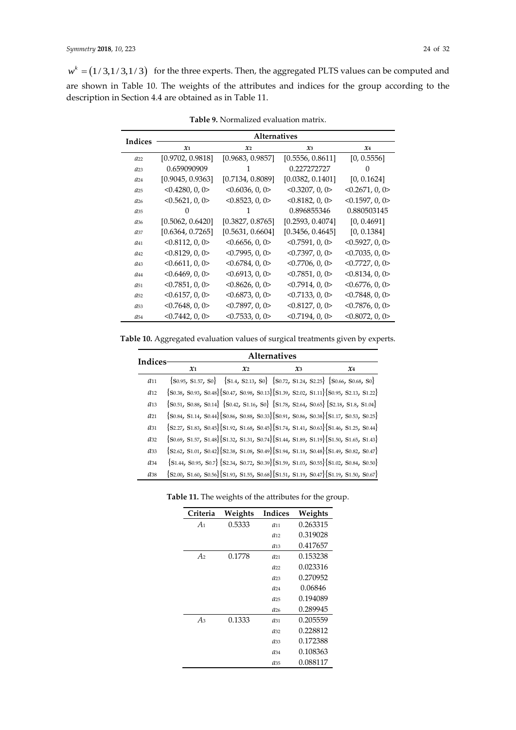$w^k = (1/3, 1/3, 1/3)$  for the three experts. Then, the aggregated PLTS values can be computed and are shown in Table 10. The weights of the attributes and indices for the group according to the description in Section 4.4 are obtained as in Table 11.

| Indices         | <b>Alternatives</b> |                       |                      |                      |  |  |
|-----------------|---------------------|-----------------------|----------------------|----------------------|--|--|
|                 | $\mathfrak{X}_1$    | $\mathcal{X}2$        | $x_3$                | $x_4$                |  |  |
| $a_{22}$        | [0.9702, 0.9818]    | [0.9683, 0.9857]      | [0.5556, 0.8611]     | [0, 0.5556]          |  |  |
| $a_{23}$        | 0.659090909         | 1                     | 0.227272727          | $\left( \right)$     |  |  |
| $a_{24}$        | [0.9045, 0.9363]    | [0.7134, 0.8089]      | [0.0382, 0.1401]     | [0, 0.1624]          |  |  |
| a <sub>25</sub> | < 0.4280, 0, 0      | <0.6036, 0, 0>        | < 0.3207, 0, 0       | <0.2671, 0, 0>       |  |  |
| $a_{26}$        | < 0.5621, 0, 0      | $< 0.8523$ , 0, 0 $>$ | < 0.8182, 0, 0       | < 0.1597, 0, 0       |  |  |
| a <sub>35</sub> | O                   |                       | 0.896855346          | 0.880503145          |  |  |
| a <sub>36</sub> | [0.5062, 0.6420]    | [0.3827, 0.8765]      | [0.2593, 0.4074]     | [0, 0.4691]          |  |  |
| $a_{37}$        | [0.6364, 0.7265]    | [0.5631, 0.6604]      | [0.3456, 0.4645]     | [0, 0.1384]          |  |  |
| $a_{41}$        | < 0.8112, 0, 0      | < 0.6656, 0, 0        | < 0.7591, 0, 0       | < 0.5927, 0, 0       |  |  |
| $a_{42}$        | < 0.8129, 0, 0      | < 0.7995, 0, 0        | $<$ 0.7397, 0, 0 $>$ | <0.7035, 0, 0>       |  |  |
| a <sub>43</sub> | < 0.6611, 0, 0>     | < 0.6784, 0, 0        | < 0.7706, 0, 0       | $<$ 0.7727, 0, 0>    |  |  |
| $a_{44}$        | $<$ 0.6469, 0, 0>   | < 0.6913, 0, 0        | $<$ 0.7851, 0, 0 $>$ | < 0.8134, 0, 0       |  |  |
| $a_{51}$        | < 0.7851, 0, 0      | < 0.8626, 0, 0        | < 0.7914, 0, 0       | <0.6776, 0, 0>       |  |  |
| a <sub>52</sub> | $<$ 0.6157, 0, 0>   | < 0.6873, 0, 0        | < 0.7133, 0, 0       | $<$ 0.7848, 0, 0 $>$ |  |  |
| $a_{53}$        | < 0.7648, 0, 0      | < 0.7897, 0, 0        | < 0.8127, 0, 0       | < 0.7876, 0, 0       |  |  |
| $a_{54}$        | $<$ 0.7442, 0, 0>   | < 0.7533, 0, 0        | <0.7194, 0, 0>       | < 0.8072, 0, 0       |  |  |

**Table 9.** Normalized evaluation matrix.

**Table 10.** Aggregated evaluation values of surgical treatments given by experts.

| <b>Indices</b>  | <b>Alternatives</b> |                  |                 |                                                                                                                                            |  |  |  |  |
|-----------------|---------------------|------------------|-----------------|--------------------------------------------------------------------------------------------------------------------------------------------|--|--|--|--|
|                 | $\mathfrak{X}_1$    | $\mathfrak{X}_2$ | $\mathcal{X}^3$ | $\chi_4$                                                                                                                                   |  |  |  |  |
| $a_{11}$        |                     |                  |                 | $\{S0.95, S1.57, S0\}$ $\{S1.4, S2.13, S0\}$ $\{S0.72, S1.24, S2.25\}$ $\{S0.66, S0.68, S0\}$                                              |  |  |  |  |
| $a_{12}$        |                     |                  |                 | $\{S_{0.38}, S_{0.93}, S_{0.48}\}\{S_{0.47}, S_{0.98}, S_{0.13}\}\{S_{1.39}, S_{2.02}, S_{1.11}\}\{S_{0.95}, S_{2.13}, S_{1.22}\}$         |  |  |  |  |
| $a_{13}$        |                     |                  |                 | $\{S_{0.51}, S_{0.88}, S_{0.14}\}\$ $\{S_{0.42}, S_{1.16}, S_{0}\}\$ $\{S_{1.78}, S_{2.64}, S_{0.65}\}\$ $\{S_{2.18}, S_{1.8}, S_{1.04}\}$ |  |  |  |  |
| $a_{21}$        |                     |                  |                 | ${S_{0.84, S1.14, S0.44}}$ ${S_{0.86, S0.88, S0.33}}$ ${S_{0.91, S0.86, S0.38}}$ ${S_{1.17, S0.53, S0.25}}$                                |  |  |  |  |
| $a_{31}$        |                     |                  |                 | ${S2.27, S1.83, S0.45}$ ${S1.92, S1.68, S0.45}$ ${S1.74, S1.41, S0.63}$ ${S1.46, S1.25, S0.44}$                                            |  |  |  |  |
| $a_{32}$        |                     |                  |                 | $\{S_{0.69}$ , S1.57, S1.48} $\{S_{1.32}$ , S1.31, S0.74} $\{S_{1.44}$ , S1.89, S1.19} $\{S_{1.50}$ , S1.65, S1.43}                        |  |  |  |  |
| $a_{33}$        |                     |                  |                 | ${S_2, S_2, S_{1,01}, S_{0,42}}$ ${S_2, S_3, S_{1,08}, S_{0,49}}$ ${S_{1,94}, S_{1,18}, S_{0,48}}$ ${S_{1,49}, S_{0,82}, S_{0,47}}$        |  |  |  |  |
| $a_{34}$        |                     |                  |                 | ${S1.44, S0.95, S0.7}$ ${S2.34, S0.72, S0.39}$ ${S1.59, S1.03, S0.55}$ ${S1.02, S0.84, S0.50}$                                             |  |  |  |  |
| a <sub>38</sub> |                     |                  |                 | $\{S2.00, S1.60, S0.56\}\{S1.93, S1.55, S0.68\}\{S1.51, S1.19, S0.47\}\{S1.19, S1.50, S0.67\}$                                             |  |  |  |  |

| Criteria       | Weights | Indices  | Weights  |
|----------------|---------|----------|----------|
| $A_1$          | 0.5333  | $a_{11}$ | 0.263315 |
|                |         | $a_{12}$ | 0.319028 |
|                |         | $a_{13}$ | 0.417657 |
| A <sub>2</sub> | 0.1778  | $a_{21}$ | 0.153238 |
|                |         | $a_{22}$ | 0.023316 |
|                |         | $a_{23}$ | 0.270952 |
|                |         | $a_{24}$ | 0.06846  |
|                |         | $a_{25}$ | 0.194089 |
|                |         | $a_{26}$ | 0.289945 |
| $A_3$          | 0.1333  | $a_{31}$ | 0.205559 |
|                |         | $a_{32}$ | 0.228812 |
|                |         | $a_{33}$ | 0.172388 |
|                |         | $a_{34}$ | 0.108363 |
|                |         | $a_{35}$ | 0.088117 |

| Table 11. The weights of the attributes for the group. |  |  |
|--------------------------------------------------------|--|--|
|                                                        |  |  |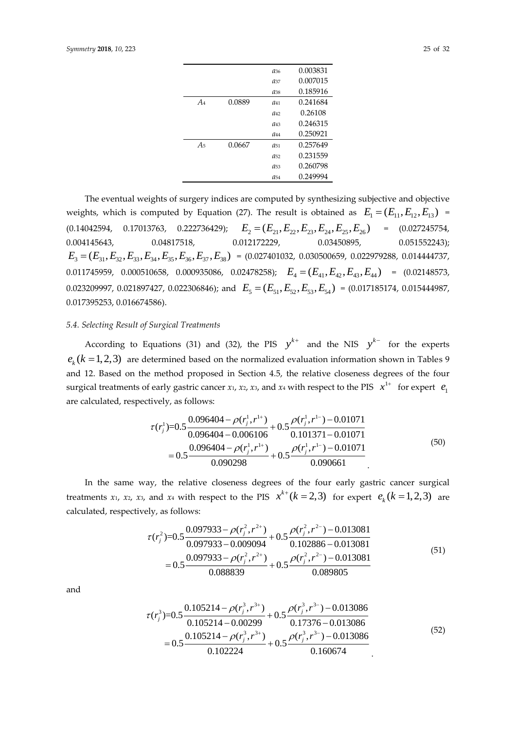|                |        | $a_{36}$        | 0.003831 |
|----------------|--------|-----------------|----------|
|                |        | $a_{37}$        | 0.007015 |
|                |        | $a_{38}$        | 0.185916 |
| $A_4$          | 0.0889 | $a_{41}$        | 0.241684 |
|                |        | $a_{42}$        | 0.26108  |
|                |        | $a_{43}$        | 0.246315 |
|                |        | $a_{44}$        | 0.250921 |
| A <sub>5</sub> | 0.0667 | $a_{51}$        | 0.257649 |
|                |        | $a_{52}$        | 0.231559 |
|                |        | $a_{53}$        | 0.260798 |
|                |        | a <sub>54</sub> | 0.249994 |
|                |        |                 |          |

The eventual weights of surgery indices are computed by synthesizing subjective and objective weights, which is computed by Equation (27). The result is obtained as  $E_1 = (E_{11}, E_{12}, E_{13})$  = (0.14042594, 0.17013763, 0.222736429);  $E_2 = (E_{21}, E_{22}, E_{23}, E_{24}, E_{25}, E_{26}) = (0.027245754,$ 0.004145643, 0.04817518, 0.012172229, 0.03450895, 0.051552243);  $E_3 = (E_{31}, E_{32}, E_{33}, E_{34}, E_{35}, E_{36}, E_{37}, E_{38}) = (0.027401032, 0.030500659, 0.022979288, 0.014444737,$  $0.011745959, \quad 0.000510658, \quad 0.000935086, \quad 0.02478258); \quad E_4 = (E_{41}, E_{42}, E_{43}, E_{44}) = (0.02148573,$  $0.023209997, 0.021897427, 0.022306846$ ; and  $E_5 = (E_{51}, E_{52}, E_{53}, E_{54}) = (0.017185174, 0.015444987,$ 0.017395253, 0.016674586).

## *5.4. Selecting Result of Surgical Treatments*

According to Equations (31) and (32), the PIS  $y^{k+}$  and the NIS  $y^{k-}$  for the experts  $e_k$  ( $k = 1,2,3$ ) are determined based on the normalized evaluation information shown in Tables 9 and 12. Based on the method proposed in Section 4.5, the relative closeness degrees of the four surgical treatments of early gastric cancer *x*<sub>1</sub>, *x*<sub>2</sub>, *x*<sub>3</sub>, and *x*<sub>4</sub> with respect to the PIS  $\; x^{1+} \;$  for expert  $\; e_{1}$ are calculated, respectively, as follows:

$$
\tau(r_j^1) = 0.5 \frac{0.096404 - \rho(r_j^1, r^{1+})}{0.096404 - 0.006106} + 0.5 \frac{\rho(r_j^1, r^{1-}) - 0.01071}{0.101371 - 0.01071} = 0.5 \frac{0.096404 - \rho(r_j^1, r^{1+})}{0.090298} + 0.5 \frac{\rho(r_j^1, r^{1-}) - 0.01071}{0.090661} \tag{50}
$$

In the same way, the relative closeness degrees of the four early gastric cancer surgical treatments *x*<sub>1</sub>, *x*<sub>2</sub>, *x*<sub>3</sub>, and *x*<sub>4</sub> with respect to the PIS  $x^{k+}(k=2,3)$  for expert  $e_k (k=1,2,3)$  are calculated, respectively, as follows:

$$
\tau(r_j^2) = 0.5 \frac{0.097933 - \rho(r_j^2, r^{2+})}{0.097933 - 0.009094} + 0.5 \frac{\rho(r_j^2, r^{2-}) - 0.013081}{0.102886 - 0.013081} = 0.5 \frac{0.097933 - \rho(r_j^2, r^{2+})}{0.088839} + 0.5 \frac{\rho(r_j^2, r^{2-}) - 0.013081}{0.089805}
$$
\n
$$
(51)
$$

and

$$
\tau(r_j^3) = 0.5 \frac{0.105214 - \rho(r_j^3, r^{3+})}{0.105214 - 0.00299} + 0.5 \frac{\rho(r_j^3, r^{3-}) - 0.013086}{0.17376 - 0.013086}
$$
  
=  $0.5 \frac{0.105214 - \rho(r_j^3, r^{3+})}{0.102224} + 0.5 \frac{\rho(r_j^3, r^{3-}) - 0.013086}{0.160674}$  (52)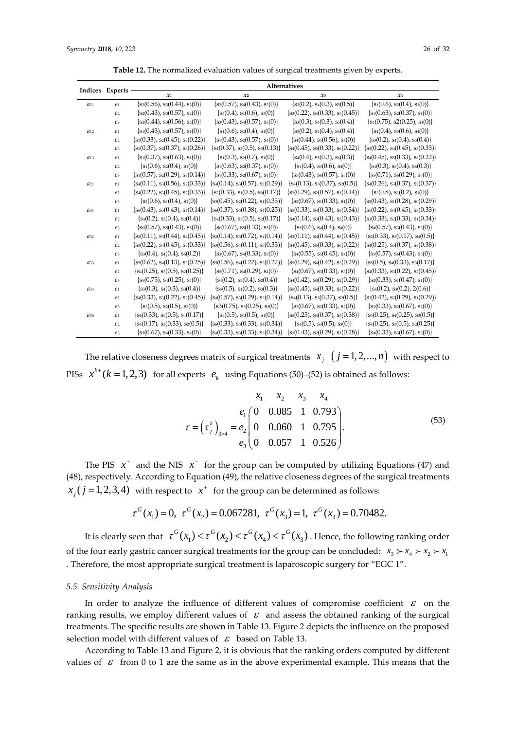| Table 12. The normalized evaluation values of surgical treatments given by experts |  |  |  |  |  |  |  |
|------------------------------------------------------------------------------------|--|--|--|--|--|--|--|
|------------------------------------------------------------------------------------|--|--|--|--|--|--|--|

|          | Indices Experts | Alternatives                           |                                        |                                        |                                        |  |
|----------|-----------------|----------------------------------------|----------------------------------------|----------------------------------------|----------------------------------------|--|
|          |                 | $\mathfrak{X}_1$                       | $\mathfrak{X}_2$                       | $x_3$                                  | $\pmb{\chi}_4$                         |  |
| $a_{11}$ | e <sub>1</sub>  | $\{s_2(0.56), s_3(0.44), s_2(0)\}\$    | $\{s_3(0.57), s_4(0.43), s_3(0)\}\$    | $\{s_3(0.2), s_4(0.3), s_5(0.5)\}\$    | $\{s_1(0.6), s_2(0.4), s_1(0)\}\$      |  |
|          | e <sub>2</sub>  | $\{s_2(0.43), s_3(0.57), s_2(0)\}\$    | $\{s_3(0.4), s_4(0.6), s_3(0)\}\$      | $\{s_3(0.22), s_4(0.33), s_5(0.45)\}\$ | $\{s_1(0.63), s_2(0.37), s_1(0)\}\$    |  |
|          | e <sub>3</sub>  | $\{s_2(0.44), s_3(0.56), s_2(0)\}\$    | $\{s_3(0.43), s_4(0.57), s_3(0)\}\$    | $\{s_3(0.3), s_4(0.3), s_5(0.4)\}\$    | $\{s_1(0.75), s_2(0.25), s_1(0)\}\$    |  |
| $a_{12}$ | e <sub>1</sub>  | $\{s_1(0.43), s_2(0.57), s_1(0)\}\$    | $\{s_1(0.6), s_2(0.4), s_1(0)\}\$      | $\{s_3(0.2), s_4(0.4), s_5(0.4)\}\$    | $\{s_4(0.4), s_5(0.6), s_4(0)\}\$      |  |
|          | e <sub>2</sub>  | $\{s_1(0.33), s_2(0.45), s_3(0.22)\}\$ | $\{s_1(0.43), s_2(0.57), s_1(0)\}\$    | $\{s_4(0.44), s_5(0.56), s_4(0)\}\$    | $\{s_3(0.2), s_4(0.4), s_5(0.4)\}\$    |  |
|          | e <sub>3</sub>  | $\{s_1(0.37), s_2(0.37), s_3(0.26)\}\$ | ${s_1(0.37), s_2(0.5), s_3(0.13)}$     | $\{s_4(0.45), s_5(0.33), s_6(0.22)\}\$ | $\{s_3(0.22), s_4(0.45), s_5(0.33)\}\$ |  |
| $a_{13}$ | $\ell$ 1        | $\{s_1(0.37), s_2(0.63), s_1(0)\}\$    | $\{s_1(0.3), s_2(0.7), s_1(0)\}\$      | $\{s_4(0.4), s_5(0.3), s_6(0.3)\}\$    | $\{s_4(0.45), s_5(0.33), s_6(0.22)\}\$ |  |
|          | e <sub>2</sub>  | ${s_1(0.6), s_2(0.4), s_1(0)}$         | $\{s_1(0.63), s_2(0.37), s_1(0)\}\$    | $\{s_4(0.4), s_5(0.6), s_4(0)\}\$      | $\{s_4(0.3), s_5(0.4), s_6(0.3)\}\$    |  |
|          | e <sub>3</sub>  | $\{s_1(0.57), s_2(0.29), s_3(0.14)\}\$ | $\{s_1(0.33), s_2(0.67), s_1(0)\}\$    | $\{s_5(0.43), s_6(0.57), s_5(0)\}\$    | $\{s_5(0.71), s_6(0.29), s_5(0)\}\$    |  |
| $a_{21}$ | $\ell$ 1        | $\{s_4(0.11), s_3(0.56), s_2(0.33)\}\$ | $\{s_4(0.14), s_3(0.57), s_2(0.29)\}\$ | $\{s_4(0.13), s_3(0.37), s_2(0.5)\}\$  | $\{s_4(0.26), s_3(0.37), s_2(0.37)\}\$ |  |
|          | e <sub>2</sub>  | ${s_4(0.22), s_3(0.45), s_2(0.33)}$    | $\{s_2(0.33), s_1(0.5), s_0(0.17)\}\$  | $\{s_3(0.29), s_2(0.57), s_1(0.14)\}\$ | $\{s_2(0.8), s_1(0.2), s_1(0)\}\$      |  |
|          | e <sub>3</sub>  | $\{s_2(0.6), s_1(0.4), s_1(0)\}\$      | $\{s_3(0.45), s_2(0.22), s_1(0.33)\}\$ | $\{s_2(0.67), s_1(0.33), s_1(0)\}\$    | $\{s_2(0.43), s_1(0.28), s_0(0.29)\}\$ |  |
| $a_{31}$ | e <sub>1</sub>  | $\{s_6(0.43), s_5(0.43), s_4(0.14)\}\$ | $\{s_6(0.37), s_5(0.38), s_4(0.25)\}\$ | $\{s_5(0.33), s_4(0.33), s_3(0.34)\}\$ | $\{s_5(0.22), s_4(0.45), s_3(0.33)\}\$ |  |
|          | e <sub>2</sub>  | $\{s_4(0.2), s_3(0.4), s_2(0.4)\}\$    | $\{s_4(0.33), s_3(0.5), s_2(0.17)\}\$  | $\{s_4(0.14), s_3(0.43), s_2(0.43)\}\$ | $\{s_3(0.33), s_2(0.33), s_1(0.34)\}\$ |  |
|          | e <sub>3</sub>  | $\{s_6(0.57), s_5(0.43), s_5(0)\}\$    | $\{s_6(0.67), s_5(0.33), s_5(0)\}\$    | $\{s_5(0.6), s_4(0.4), s_4(0)\}\$      | $\{s_4(0.57), s_3(0.43), s_3(0)\}\$    |  |
| a32      | $\ell$ 1        | $\{s_2(0.11), s_3(0.44), s_4(0.45)\}\$ | $\{s_2(0.14), s_3(0.72), s_4(0.14)\}\$ | $\{s_3(0.11), s_4(0.44), s_5(0.45)\}\$ | $\{s_2(0.33), s_3(0.17), s_4(0.5)\}\$  |  |
|          | e <sub>2</sub>  | $\{s_3(0.22), s_4(0.45), s_5(0.33)\}\$ | $\{s_3(0.56), s_4(0.11), s_5(0.33)\}\$ | $\{s_4(0.45), s_5(0.33), s_6(0.22)\}\$ | ${s_4(0.25), s_5(0.37), s_6(0.38)}$    |  |
|          | e <sub>3</sub>  | $\{s_3(0.4), s_4(0.4), s_5(0.2)\}\$    | $\{s_3(0.67), s_4(0.33), s_3(0)\}\$    | $\{s_4(0.55), s_5(0.45), s_4(0)\}\$    | $\{s_5(0.57), s_6(0.43), s_5(0)\}\$    |  |
| a33      | $\ell$ 1        | $\{s_5(0.62), s_4(0.13), s_3(0.25)\}\$ | $\{s_5(0.56), s_4(0.22), s_3(0.22)\}\$ | $\{s_5(0.29), s_4(0.42), s_3(0.29)\}\$ | $\{s_5(0.5), s_4(0.33), s_3(0.17)\}\$  |  |
|          | e <sub>2</sub>  | $\{s_4(0.25), s_3(0.5), s_2(0.25)\}\$  | $\{s_5(0.71), s_4(0.29), s_4(0)\}\$    | $\{s_4(0.67), s_3(0.33), s_3(0)\}\$    | $\{s_4(0.33), s_3(0.22), s_2(0.45)\}\$ |  |
|          | e <sub>3</sub>  | $\{s_5(0.75), s_4(0.25), s_4(0)\}\$    | $\{s_4(0.2), s_3(0.4), s_2(0.4)\}\$    | $\{s_4(0.42), s_3(0.29), s_2(0.29)\}\$ | $\{s_2(0.33), s_1(0.47), s_1(0)\}\$    |  |
| a34      | $\ell$ 1        | $\{s_5(0.3), s_4(0.3), s_3(0.4)\}\$    | $\{s_5(0.5), s_4(0.2), s_3(0.3)\}\$    | $\{s_5(0.45), s_4(0.33), s_3(0.22)\}\$ | $\{s_4(0.2), s_3(0.2), 2(0.6)\}\$      |  |
|          | e <sub>2</sub>  | $\{s_4(0.33), s_3(0.22), s_2(0.45)\}\$ | $\{s_4(0.57), s_3(0.29), s_2(0.14)\}\$ | $\{s_4(0.13), s_3(0.37), s_2(0.5)\}\$  | $\{s_3(0.42), s_2(0.29), s_1(0.29)\}\$ |  |
|          | e <sub>3</sub>  | $\{s_3(0.5), s_2(0.5), s_2(0)\}\$      | $\{s3(0.75), s2(0.25), s2(0)\}\$       | $\{s_3(0.67), s_2(0.33), s_2(0)\}\$    | $\{s_3(0.33), s_2(0.67), s_2(0)\}\$    |  |
| $q_{38}$ | $\ell$ 1        | $\{s_6(0.33), s_5(0.5), s_4(0.17)\}\$  | $\{s_5(0.5), s_4(0.5), s_4(0)\}\$      | $\{s_5(0.25), s_4(0.37), s_3(0.38)\}\$ | $\{s_5(0.25), s_4(0.25), s_3(0.5)\}\$  |  |
|          | e <sub>2</sub>  | $\{s_4(0.17), s_3(0.33), s_2(0.5)\}\$  | $\{s_6(0.33), s_5(0.33), s_4(0.34)\}\$ | $\{s_4(0.5), s_3(0.5), s_3(0)\}\$      | $\{s_4(0.25), s_3(0.5), s_2(0.25)\}\$  |  |
|          | e <sub>3</sub>  | $\{s_5(0.67), s_4(0.33), s_4(0)\}\$    | $\{s_4(0.33), s_3(0.33), s_2(0.34)\}\$ | $\{s_3(0.43), s_2(0.29), s_1(0.28)\}\$ | $\{s_4(0.33), s_3(0.67), s_3(0)\}\$    |  |

The relative closeness degrees matrix of surgical treatments  $\left(x_{j}\right)$   $\left(j=1,2,...,n\right)$  with respect to PISs  $x^{k+}$  ( $k = 1, 2, 3$ ) for all experts  $e_k$  using Equations (50)–(52) is obtained as follows:

$$
x_1 \quad x_2 \quad x_3 \quad x_4
$$
  
\n
$$
\tau = \left(\tau_j^k\right)_{3 \times 4} = \frac{e_1}{e_2} \begin{pmatrix} 0 & 0.085 & 1 & 0.793 \\ 0 & 0.060 & 1 & 0.795 \\ 0 & 0.057 & 1 & 0.526 \end{pmatrix}.
$$
 (53)

The PIS  $x^+$  and the NIS  $x^-$  for the group can be computed by utilizing Equations (47) and (48), respectively. According to Equation (49), the relative closeness degrees of the surgical treatments  $x_j$  ( $j = 1,2,3,4$ ) *with respect to*  $x^+$  for the group can be determined as follows:

$$
\tau^G(x_1) = 0
$$
,  $\tau^G(x_2) = 0.067281$ ,  $\tau^G(x_3) = 1$ ,  $\tau^G(x_4) = 0.70482$ .

It is clearly seen that  $\tau^G(x_1) < \tau^G(x_2) < \tau^G(x_4) < \tau^G(x_3)$  . Hence, the following ranking order of the four early gastric cancer surgical treatments for the group can be concluded:  $x_3 \succ x_4 \succ x_2 \succ x_1$ . Therefore, the most appropriate surgical treatment is laparoscopic surgery for "EGC 1".

#### *5.5. Sensitivity Analysis*

In order to analyze the influence of different values of compromise coefficient  $\varepsilon$  on the ranking results, we employ different values of  $\epsilon$  and assess the obtained ranking of the surgical treatments. The specific results are shown in Table 13. Figure 2 depicts the influence on the proposed selection model with different values of  $\,\mathscr{E}\,$  based on Table 13.

According to Table 13 and Figure 2, it is obvious that the ranking orders computed by different values of  $\varepsilon$  from 0 to 1 are the same as in the above experimental example. This means that the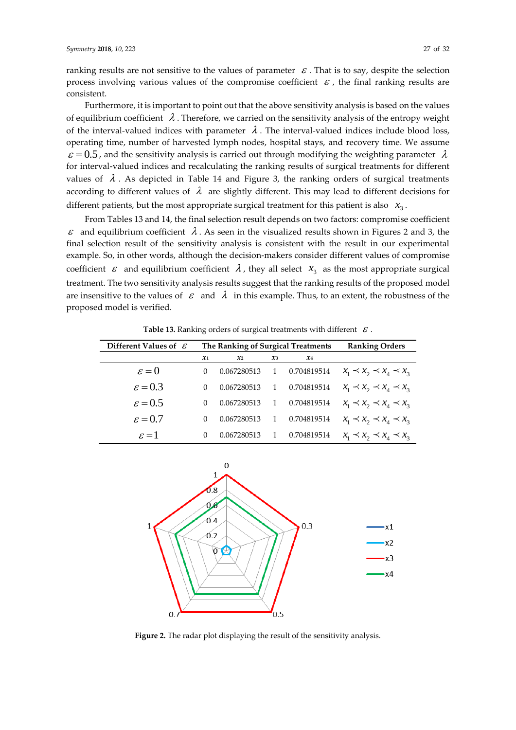ranking results are not sensitive to the values of parameter  $\,\varepsilon$  . That is to say, despite the selection process involving various values of the compromise coefficient  $\varepsilon$ , the final ranking results are consistent.

Furthermore, it is important to point out that the above sensitivity analysis is based on the values of equilibrium coefficient  $\lambda$  . Therefore, we carried on the sensitivity analysis of the entropy weight of the interval-valued indices with parameter  $\lambda$ . The interval-valued indices include blood loss, operating time, number of harvested lymph nodes, hospital stays, and recovery time. We assume  $\varepsilon$  = 0.5, and the sensitivity analysis is carried out through modifying the weighting parameter  $\lambda$ for interval-valued indices and recalculating the ranking results of surgical treatments for different values of  $\lambda$ . As depicted in Table 14 and Figure 3, the ranking orders of surgical treatments according to different values of  $\lambda$  are slightly different. This may lead to different decisions for different patients, but the most appropriate surgical treatment for this patient is also  $x_3$ .

From Tables 13 and 14, the final selection result depends on two factors: compromise coefficient  $\varepsilon$  and equilibrium coefficient  $\lambda$ . As seen in the visualized results shown in Figures 2 and 3, the final selection result of the sensitivity analysis is consistent with the result in our experimental example. So, in other words, although the decision-makers consider different values of compromise coefficient  $\epsilon$  and equilibrium coefficient  $\lambda$ , they all select  $x_3$  as the most appropriate surgical treatment. The two sensitivity analysis results suggest that the ranking results of the proposed model are insensitive to the values of  $\,\varepsilon\,$  and  $\,\lambda\,$  in this example. Thus, to an extent, the robustness of the proposed model is verified.

| Different Values of $\mathcal E$ | The Ranking of Surgical Treatments |                |                |                | <b>Ranking Orders</b>               |
|----------------------------------|------------------------------------|----------------|----------------|----------------|-------------------------------------|
|                                  | $\pmb{x}_1$                        | $\mathbf{x}_2$ | $x_3$          | $\mathcal{X}4$ |                                     |
| $\varepsilon = 0$                | 0                                  | 0.067280513    | $\overline{1}$ | 0.704819514    | $x_1 \prec x_2 \prec x_4 \prec x_3$ |
| $\varepsilon = 0.3$              | $\Omega$                           | 0.067280513    | 1              | 0.704819514    | $x_1 \prec x_2 \prec x_4 \prec x_3$ |
| $\varepsilon = 0.5$              | $\Omega$                           | 0.067280513    | 1              | 0.704819514    | $x_1 \prec x_2 \prec x_4 \prec x_3$ |
| $\varepsilon = 0.7$              | 0                                  | 0.067280513    | $\overline{1}$ | 0.704819514    | $x_1 \prec x_2 \prec x_4 \prec x_3$ |
| $\varepsilon = 1$                | $\Omega$                           | 0.067280513    |                | 0.704819514    | $x_1 \prec x_2 \prec x_4 \prec x_3$ |

**Table 13.** Ranking orders of surgical treatments with different  $\,\varepsilon$  .



**Figure 2.** The radar plot displaying the result of the sensitivity analysis.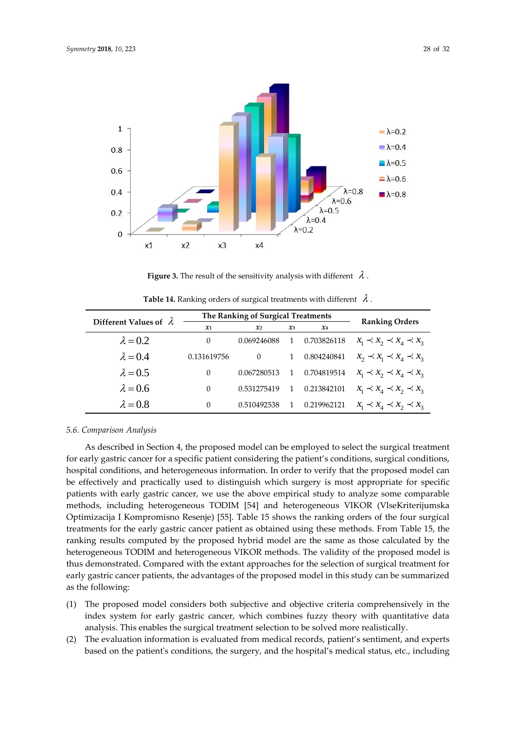

**Figure 3.** The result of the sensitivity analysis with different  $\lambda$  .

|                               | The Ranking of Surgical Treatments |                 |       |             | <b>Ranking Orders</b>               |
|-------------------------------|------------------------------------|-----------------|-------|-------------|-------------------------------------|
| Different Values of $\lambda$ | $\mathfrak{X}1$                    | $\mathfrak{X}2$ | $x_3$ | $x_4$       |                                     |
| $\lambda = 0.2$               | $\Omega$                           | 0.069246088     |       | 0.703826118 | $x_1 \prec x_2 \prec x_4 \prec x_3$ |
| $\lambda = 0.4$               | 0.131619756                        | $\Omega$        |       | 0.804240841 | $x_2 \prec x_1 \prec x_4 \prec x_3$ |
| $\lambda = 0.5$               | $\Omega$                           | 0.067280513     |       | 0.704819514 | $x_1 \prec x_2 \prec x_4 \prec x_3$ |
| $\lambda = 0.6$               | $\Omega$                           | 0.531275419     |       | 0.213842101 | $x_1 \prec x_4 \prec x_2 \prec x_3$ |
| $\lambda = 0.8$               | 0                                  | 0.510492538     |       | 0.219962121 | $x_1 \prec x_4 \prec x_2 \prec x_3$ |

**Table 14.** Ranking orders of surgical treatments with different  $\lambda$ .

#### *5.6. Comparison Analysis*

As described in Section 4, the proposed model can be employed to select the surgical treatment for early gastric cancer for a specific patient considering the patient's conditions, surgical conditions, hospital conditions, and heterogeneous information. In order to verify that the proposed model can be effectively and practically used to distinguish which surgery is most appropriate for specific patients with early gastric cancer, we use the above empirical study to analyze some comparable methods, including heterogeneous TODIM [\[54\]](#page-31-3) and heterogeneous VIKOR (VlseKriterijumska Optimizacija I Kompromisno Resenje) [\[55\]](#page-31-4). Table 15 shows the ranking orders of the four surgical treatments for the early gastric cancer patient as obtained using these methods. From Table 15, the ranking results computed by the proposed hybrid model are the same as those calculated by the heterogeneous TODIM and heterogeneous VIKOR methods. The validity of the proposed model is thus demonstrated. Compared with the extant approaches for the selection of surgical treatment for early gastric cancer patients, the advantages of the proposed model in this study can be summarized as the following:

- (1) The proposed model considers both subjective and objective criteria comprehensively in the index system for early gastric cancer, which combines fuzzy theory with quantitative data analysis. This enables the surgical treatment selection to be solved more realistically.
- (2) The evaluation information is evaluated from medical records, patient's sentiment, and experts based on the patient's conditions, the surgery, and the hospital's medical status, etc., including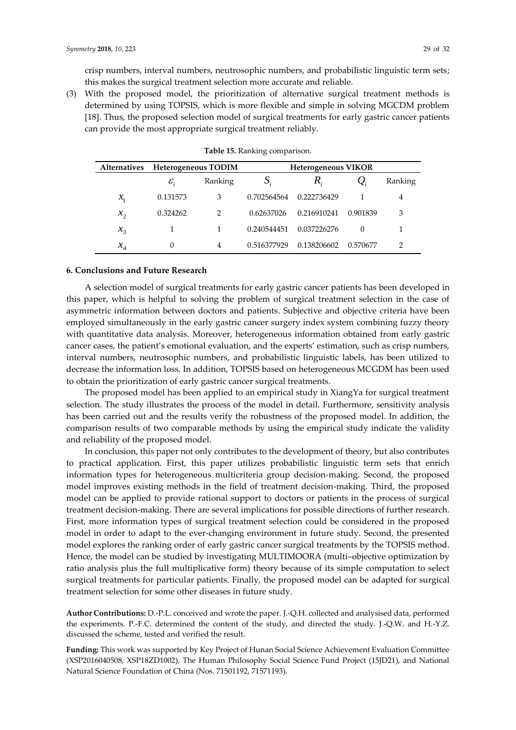crisp numbers, interval numbers, neutrosophic numbers, and probabilistic linguistic term sets; this makes the surgical treatment selection more accurate and reliable.

(3) With the proposed model, the prioritization of alternative surgical treatment methods is determined by using TOPSIS, which is more flexible and simple in solving MGCDM problem [\[18\]](#page-29-12). Thus, the proposed selection model of surgical treatments for early gastric cancer patients can provide the most appropriate surgical treatment reliably.

|                 | Alternatives Heterogeneous TODIM |               |             | <b>Heterogeneous VIKOR</b> |          |         |
|-----------------|----------------------------------|---------------|-------------|----------------------------|----------|---------|
|                 | $\mathcal{E}_{i}$                | Ranking       | $S_i$       | K,                         |          | Ranking |
| $\mathcal{X}_1$ | 0.131573                         | 3             | 0.702564564 | 0.222736429                |          | 4       |
| $x_{2}$         | 0.324262                         | $\mathcal{P}$ | 0.62637026  | 0.216910241                | 0.901839 | 3       |
| $x_{3}$         |                                  |               | 0.240544451 | 0.037226276                | $\Omega$ |         |
| $x_{4}$         | 0                                | 4             | 0.516377929 | 0.138206602                | 0.570677 | 2       |

| Table 15. Ranking comparison. |  |
|-------------------------------|--|
|-------------------------------|--|

## **6. Conclusions and Future Research**

A selection model of surgical treatments for early gastric cancer patients has been developed in this paper, which is helpful to solving the problem of surgical treatment selection in the case of asymmetric information between doctors and patients. Subjective and objective criteria have been employed simultaneously in the early gastric cancer surgery index system combining fuzzy theory with quantitative data analysis. Moreover, heterogeneous information obtained from early gastric cancer cases, the patient's emotional evaluation, and the experts' estimation, such as crisp numbers, interval numbers, neutrosophic numbers, and probabilistic linguistic labels, has been utilized to decrease the information loss. In addition, TOPSIS based on heterogeneous MCGDM has been used to obtain the prioritization of early gastric cancer surgical treatments.

The proposed model has been applied to an empirical study in XiangYa for surgical treatment selection. The study illustrates the process of the model in detail. Furthermore, sensitivity analysis has been carried out and the results verify the robustness of the proposed model. In addition, the comparison results of two comparable methods by using the empirical study indicate the validity and reliability of the proposed model.

In conclusion, this paper not only contributes to the development of theory, but also contributes to practical application. First, this paper utilizes probabilistic linguistic term sets that enrich information types for heterogeneous multicriteria group decision-making. Second, the proposed model improves existing methods in the field of treatment decision-making. Third, the proposed model can be applied to provide rational support to doctors or patients in the process of surgical treatment decision-making. There are several implications for possible directions of further research. First, more information types of surgical treatment selection could be considered in the proposed model in order to adapt to the ever-changing environment in future study. Second, the presented model explores the ranking order of early gastric cancer surgical treatments by the TOPSIS method. Hence, the model can be studied by investigating MULTIMOORA (multi–objective optimization by ratio analysis plus the full multiplicative form) theory because of its simple computation to select surgical treatments for particular patients. Finally, the proposed model can be adapted for surgical treatment selection for some other diseases in future study.

**Author Contributions:** D.-P.L. conceived and wrote the paper. J.-Q.H. collected and analysised data, performed the experiments. P.-F.C. determined the content of the study, and directed the study. J.-Q.W. and H.-Y.Z. discussed the scheme, tested and verified the result.

**Funding:** This work was supported by Key Project of Hunan Social Science Achievement Evaluation Committee (XSP2016040508, XSP18ZD1002), The Human Philosophy Social Science Fund Project (15JD21), and National Natural Science Foundation of China (Nos. 71501192, 71571193).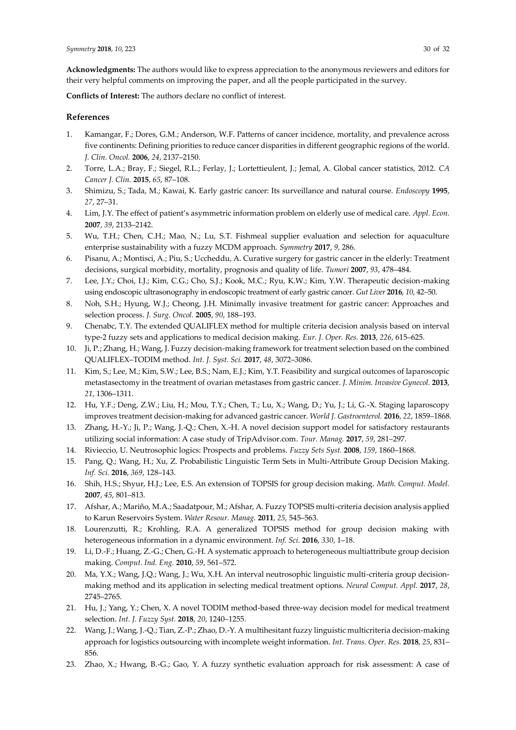**Acknowledgments:** The authors would like to express appreciation to the anonymous reviewers and editors for their very helpful comments on improving the paper, and all the people participated in the survey.

**Conflicts of Interest:** The authors declare no conflict of interest.

## **References**

- <span id="page-29-0"></span>1. Kamangar, F.; Dores, G.M.; Anderson, W.F. Patterns of cancer incidence, mortality, and prevalence across five continents: Defining priorities to reduce cancer disparities in different geographic regions of the world. *J. Clin. Oncol.* **2006**, *24*, 2137–2150.
- <span id="page-29-1"></span>2. Torre, L.A.; Bray, F.; Siegel, R.L.; Ferlay, J.; Lortettieulent, J.; Jemal, A. Global cancer statistics, 2012. *CA Cancer J. Clin.* **2015**, *65*, 87–108.
- <span id="page-29-2"></span>3. Shimizu, S.; Tada, M.; Kawai, K. Early gastric cancer: Its surveillance and natural course. *Endoscopy* **1995**, *27*, 27–31.
- <span id="page-29-3"></span>4. Lim, J.Y. The effect of patient's asymmetric information problem on elderly use of medical care. *Appl. Econ.*  **2007**, *39*, 2133–2142.
- <span id="page-29-4"></span>5. Wu, T.H.; Chen, C.H.; Mao, N.; Lu, S.T. Fishmeal supplier evaluation and selection for aquaculture enterprise sustainability with a fuzzy MCDM approach. *Symmetry* **2017**, *9*, 286.
- <span id="page-29-15"></span>6. Pisanu, A.; Montisci, A.; Piu, S.; Uccheddu, A. Curative surgery for gastric cancer in the elderly: Treatment decisions, surgical morbidity, mortality, prognosis and quality of life. *Tumori* **2007**, *93*, 478–484.
- <span id="page-29-16"></span>7. Lee, J.Y.; Choi, I.J.; Kim, C.G.; Cho, S.J.; Kook, M.C.; Ryu, K.W.; Kim, Y.W. Therapeutic decision-making using endoscopic ultrasonography in endoscopic treatment of early gastric cancer. *Gut Liver* **2016**, *10*, 42–50.
- <span id="page-29-14"></span>8. Noh, S.H.; Hyung, W.J.; Cheong, J.H. Minimally invasive treatment for gastric cancer: Approaches and selection process. *J. Surg. Oncol.* **2005**, *90*, 188–193.
- <span id="page-29-6"></span>9. Chenabc, T.Y. The extended QUALIFLEX method for multiple criteria decision analysis based on interval type-2 fuzzy sets and applications to medical decision making. *Eur. J. Oper. Res.* **2013**, *226*, 615–625.
- <span id="page-29-5"></span>10. Ji, P.; Zhang, H.; Wang, J. Fuzzy decision-making framework for treatment selection based on the combined QUALIFLEX–TODIM method. *Int. J. Syst. Sci.* **2017**, *48*, 3072–3086.
- <span id="page-29-19"></span>11. Kim, S.; Lee, M.; Kim, S.W.; Lee, B.S.; Nam, E.J.; Kim, Y.T. Feasibility and surgical outcomes of laparoscopic metastasectomy in the treatment of ovarian metastases from gastric cancer. *J. Minim. Invasive Gynecol.* **2013**, *21*, 1306–1311.
- <span id="page-29-20"></span>12. Hu, Y.F.; Deng, Z.W.; Liu, H.; Mou, T.Y.; Chen, T.; Lu, X.; Wang, D.; Yu, J.; Li, G.-X. Staging laparoscopy improves treatment decision-making for advanced gastric cancer. *World J. Gastroenterol.* **2016**, *22*, 1859–1868.
- <span id="page-29-7"></span>13. Zhang, H.-Y.; Ji, P.; Wang, J.-Q.; Chen, X.-H. A novel decision support model for satisfactory restaurants utilizing social information: A case study of TripAdvisor.com. *Tour. Manag.* **2017**, *59*, 281–297.
- <span id="page-29-8"></span>14. Rivieccio, U. Neutrosophic logics: Prospects and problems. *Fuzzy Sets Syst.* **2008**, *159*, 1860–1868.
- <span id="page-29-9"></span>15. Pang, Q.; Wang, H.; Xu, Z. Probabilistic Linguistic Term Sets in Multi-Attribute Group Decision Making. *Inf. Sci.* **2016**, *369*, 128–143.
- <span id="page-29-10"></span>16. Shih, H.S.; Shyur, H.J.; Lee, E.S. An extension of TOPSIS for group decision making. *Math. Comput. Model.* **2007**, *45*, 801–813.
- <span id="page-29-11"></span>17. Afshar, A.; Mariño, M.A.; Saadatpour, M.; Afshar, A. Fuzzy TOPSIS multi-criteria decision analysis applied to Karun Reservoirs System. *Water Resour. Manag.* **2011**, *25*, 545–563.
- <span id="page-29-12"></span>18. Lourenzutti, R.; Krohling, R.A. A generalized TOPSIS method for group decision making with heterogeneous information in a dynamic environment. *Inf. Sci.* **2016**, *330*, 1–18.
- <span id="page-29-13"></span>19. Li, D.-F.; Huang, Z.-G.; Chen, G.-H. A systematic approach to heterogeneous multiattribute group decision making. *Comput. Ind. Eng.* **2010**, *59*, 561–572.
- <span id="page-29-17"></span>20. Ma, Y.X.; Wang, J.Q.; Wang, J.; Wu, X.H. An interval neutrosophic linguistic multi-criteria group decisionmaking method and its application in selecting medical treatment options. *Neural Comput. Appl.* **2017**, *28*, 2745–2765.
- <span id="page-29-18"></span>21. Hu, J.; Yang, Y.; Chen, X. A novel TODIM method-based three-way decision model for medical treatment selection. *Int. J. Fuzzy Syst.* **2018**, *20*, 1240–1255.
- <span id="page-29-21"></span>22. Wang, J.; Wang, J.-Q.; Tian, Z.-P.; Zhao, D.-Y. A multihesitant fuzzy linguistic multicriteria decision-making approach for logistics outsourcing with incomplete weight information. *Int. Trans. Oper. Res.* **2018**, *25*, 831– 856.
- <span id="page-29-22"></span>23. Zhao, X.; Hwang, B.-G.; Gao, Y. A fuzzy synthetic evaluation approach for risk assessment: A case of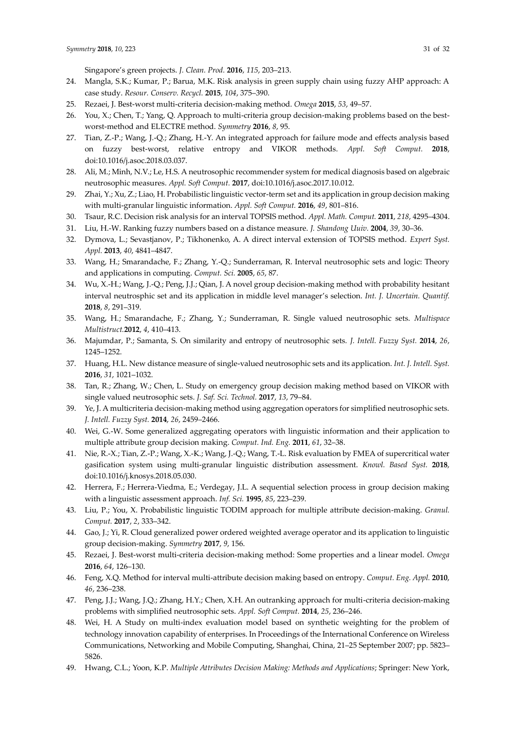- <span id="page-30-0"></span>24. Mangla, S.K.; Kumar, P.; Barua, M.K. Risk analysis in green supply chain using fuzzy AHP approach: A case study. *Resour. Conserv. Recycl.* **2015**, *104*, 375–390.
- 25. Rezaei, J. Best-worst multi-criteria decision-making method. *Omega* **2015**, *53*, 49–57.
- 26. You, X.; Chen, T.; Yang, Q. Approach to multi-criteria group decision-making problems based on the bestworst-method and ELECTRE method. *Symmetry* **2016**, *8*, 95.
- <span id="page-30-1"></span>27. Tian, Z.-P.; Wang, J.-Q.; Zhang, H.-Y. An integrated approach for failure mode and effects analysis based on fuzzy best-worst, relative entropy and VIKOR methods. *Appl. Soft Comput.* **2018**, doi:10.1016/j.asoc.2018.03.037.
- <span id="page-30-2"></span>28. Ali, M.; Minh, N.V.; Le, H.S. A neutrosophic recommender system for medical diagnosis based on algebraic neutrosophic measures. *Appl. Soft Comput.* **2017**, doi:10.1016/j.asoc.2017.10.012.
- <span id="page-30-3"></span>29. Zhai, Y.; Xu, Z.; Liao, H. Probabilistic linguistic vector-term set and its application in group decision making with multi-granular linguistic information. *Appl. Soft Comput.* **2016**, *49*, 801–816.
- <span id="page-30-4"></span>30. Tsaur, R.C. Decision risk analysis for an interval TOPSIS method. *Appl. Math. Comput.* **2011**, *218*, 4295–4304.
- <span id="page-30-5"></span>31. Liu, H.-W. Ranking fuzzy numbers based on a distance measure. *J. Shandong Uuiv.* **2004**, *39*, 30–36.
- <span id="page-30-6"></span>32. Dymova, L.; Sevastjanov, P.; Tikhonenko, A. A direct interval extension of TOPSIS method. *Expert Syst. Appl.* **2013**, *40*, 4841–4847.
- 33. Wang, H.; Smarandache, F.; Zhang, Y.-Q.; Sunderraman, R. Interval neutrosophic sets and logic: Theory and applications in computing. *Comput. Sci.* **2005**, *65*, 87.
- 34. Wu, X.-H.; Wang, J.-Q.; Peng, J.J.; Qian, J. A novel group decision-making method with probability hesitant interval neutrosphic set and its application in middle level manager's selection. *Int. J. Uncertain. Quantif.* **2018**, *8*, 291–319.
- <span id="page-30-7"></span>35. Wang, H.; Smarandache, F.; Zhang, Y.; Sunderraman, R. Single valued neutrosophic sets. *Multispace Multistruct.***2012**, *4*, 410–413.
- <span id="page-30-8"></span>36. Majumdar, P.; Samanta, S. On similarity and entropy of neutrosophic sets. *J. Intell. Fuzzy Syst.* **2014**, *26*, 1245–1252.
- <span id="page-30-9"></span>37. Huang, H.L. New distance measure of single-valued neutrosophic sets and its application. *Int. J. Intell. Syst.* **2016**, *31*, 1021–1032.
- <span id="page-30-10"></span>38. Tan, R.; Zhang, W.; Chen, L. Study on emergency group decision making method based on VIKOR with single valued neutrosophic sets. *J. Saf. Sci. Technol.* **2017**, *13*, 79–84.
- <span id="page-30-11"></span>39. Ye, J. A multicriteria decision-making method using aggregation operators for simplified neutrosophic sets. *J. Intell. Fuzzy Syst.* **2014**, *26*, 2459–2466.
- 40. Wei, G.-W. Some generalized aggregating operators with linguistic information and their application to multiple attribute group decision making. *Comput. Ind. Eng.* **2011**, *61*, 32–38.
- 41. Nie, R.-X.; Tian, Z.-P.; Wang, X.-K.; Wang, J.-Q.; Wang, T.-L. Risk evaluation by FMEA of supercritical water gasification system using multi-granular linguistic distribution assessment. *Knowl. Based Syst.* **2018**, doi:10.1016/j.knosys.2018.05.030.
- <span id="page-30-12"></span>42. Herrera, F.; Herrera-Viedma, E.; Verdegay, J.L. A sequential selection process in group decision making with a linguistic assessment approach. *Inf. Sci.* **1995**, *85*, 223–239.
- <span id="page-30-13"></span>43. Liu, P.; You, X. Probabilistic linguistic TODIM approach for multiple attribute decision-making. *Granul. Comput.* **2017**, *2*, 333–342.
- <span id="page-30-14"></span>44. Gao, J.; Yi, R. Cloud generalized power ordered weighted average operator and its application to linguistic group decision-making. *Symmetry* **2017**, *9*, 156.
- <span id="page-30-15"></span>45. Rezaei, J. Best-worst multi-criteria decision-making method: Some properties and a linear model. *Omega* **2016**, *64*, 126–130.
- <span id="page-30-16"></span>46. Feng, X.Q. Method for interval multi-attribute decision making based on entropy. *Comput. Eng. Appl.* **2010**, *46*, 236–238.
- <span id="page-30-17"></span>47. Peng, J.J.; Wang, J.Q.; Zhang, H.Y.; Chen, X.H. An outranking approach for multi-criteria decision-making problems with simplified neutrosophic sets. *Appl. Soft Comput.* **2014**, *25*, 236–246.
- <span id="page-30-18"></span>48. Wei, H. A Study on multi-index evaluation model based on synthetic weighting for the problem of technology innovation capability of enterprises. In Proceedings of the International Conference on Wireless Communications, Networking and Mobile Computing, Shanghai, China, 21–25 September 2007; pp. 5823– 5826.
- <span id="page-30-19"></span>49. Hwang, C.L.; Yoon, K.P. *Multiple Attributes Decision Making: Methods and Applications*; Springer: New York,